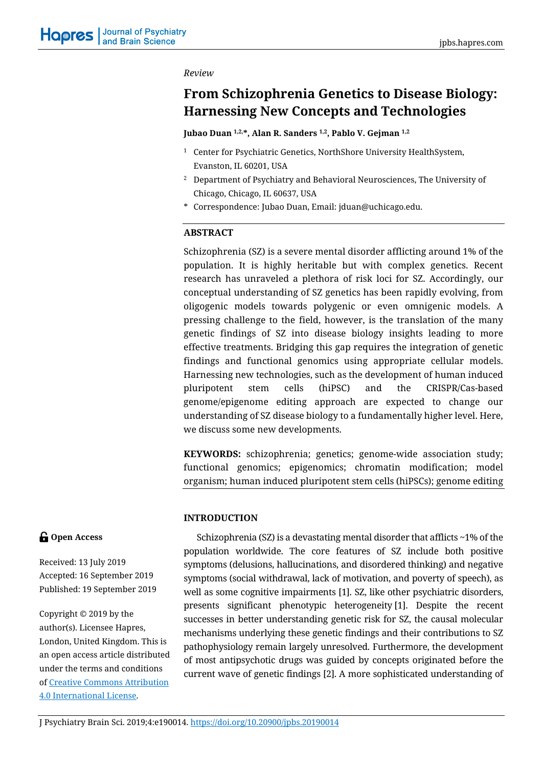#### *Review*

# **From Schizophrenia Genetics to Disease Biology: Harnessing New Concepts and Technologies**

**Jubao Duan 1,2, \*, Alan R. Sanders 1,2, Pablo V. Gejman 1,2**

- <sup>1</sup> Center for Psychiatric Genetics, NorthShore University HealthSystem, Evanston, IL 60201, USA
- <sup>2</sup> Department of Psychiatry and Behavioral Neurosciences, The University of Chicago, Chicago, IL 60637, USA
- \* Correspondence: Jubao Duan, Email: jduan@uchicago.edu.

# **ABSTRACT**

Schizophrenia (SZ) is a severe mental disorder afflicting around 1% of the population. It is highly heritable but with complex genetics. Recent research has unraveled a plethora of risk loci for SZ. Accordingly, our conceptual understanding of SZ genetics has been rapidly evolving, from oligogenic models towards polygenic or even omnigenic models. A pressing challenge to the field, however, is the translation of the many genetic findings of SZ into disease biology insights leading to more effective treatments. Bridging this gap requires the integration of genetic findings and functional genomics using appropriate cellular models. Harnessing new technologies, such as the development of human induced pluripotent stem cells (hiPSC) and the CRISPR/Cas-based genome/epigenome editing approach are expected to change our understanding of SZ disease biology to a fundamentally higher level. Here, we discuss some new developments.

**KEYWORDS:** schizophrenia; genetics; genome-wide association study; functional genomics; epigenomics; chromatin modification; model organism; human induced pluripotent stem cells (hiPSCs); genome editing

# **INTRODUCTION**

Schizophrenia (SZ) is a devastating mental disorder that afflicts ~1% of the population worldwide. The core features of SZ include both positive symptoms (delusions, hallucinations, and disordered thinking) and negative symptoms (social withdrawal, lack of motivation, and poverty of speech), as well as some cognitive impairments [1]. SZ, like other psychiatric disorders, presents significant phenotypic heterogeneity [1]. Despite the recent successes in better understanding genetic risk for SZ, the causal molecular mechanisms underlying these genetic findings and their contributions to SZ pathophysiology remain largely unresolved. Furthermore, the development of most antipsychotic drugs was guided by concepts originated before the current wave of genetic findings [2]. A more sophisticated understanding of

# **G** Open Access

Received: 13 July 2019 Accepted: 16 September 2019 Published: 19 September 2019

Copyright © 2019 by the author(s). Licensee Hapres, London, United Kingdom. This is an open access article distributed under the terms and conditions of [Creative Commons Attribution](https://creativecommons.org/licenses/by/4.0/)  [4.0 International License.](https://creativecommons.org/licenses/by/4.0/)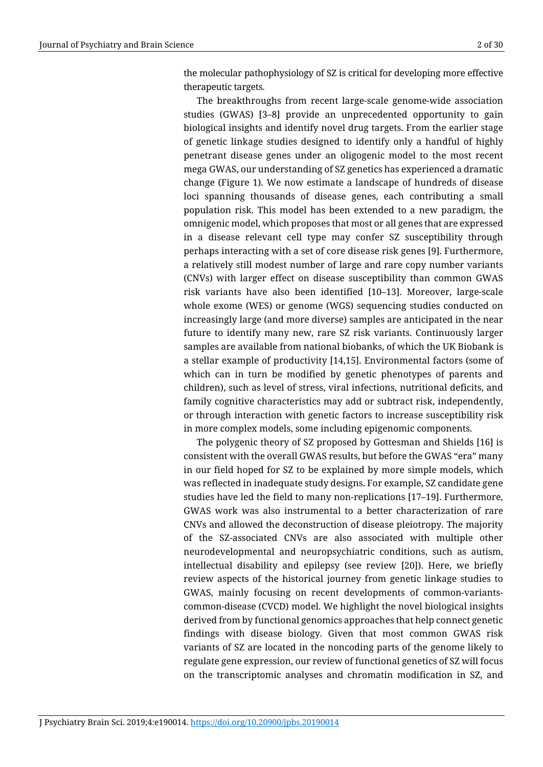the molecular pathophysiology of SZ is critical for developing more effective therapeutic targets.

The breakthroughs from recent large-scale genome-wide association studies (GWAS) [3–8] provide an unprecedented opportunity to gain biological insights and identify novel drug targets. From the earlier stage of genetic linkage studies designed to identify only a handful of highly penetrant disease genes under an oligogenic model to the most recent mega GWAS, our understanding of SZ genetics has experienced a dramatic change (Figure 1). We now estimate a landscape of hundreds of disease loci spanning thousands of disease genes, each contributing a small population risk. This model has been extended to a new paradigm, the omnigenic model, which proposes that most or all genes that are expressed in a disease relevant cell type may confer SZ susceptibility through perhaps interacting with a set of core disease risk genes [9]. Furthermore, a relatively still modest number of large and rare copy number variants (CNVs) with larger effect on disease susceptibility than common GWAS risk variants have also been identified [10–13]. Moreover, large-scale whole exome (WES) or genome (WGS) sequencing studies conducted on increasingly large (and more diverse) samples are anticipated in the near future to identify many new, rare SZ risk variants. Continuously larger samples are available from national biobanks, of which the UK Biobank is a stellar example of productivity [14,15]. Environmental factors (some of which can in turn be modified by genetic phenotypes of parents and children), such as level of stress, viral infections, nutritional deficits, and family cognitive characteristics may add or subtract risk, independently, or through interaction with genetic factors to increase susceptibility risk in more complex models, some including epigenomic components.

The polygenic theory of SZ proposed by Gottesman and Shields [16] is consistent with the overall GWAS results, but before the GWAS "era" many in our field hoped for SZ to be explained by more simple models, which was reflected in inadequate study designs. For example, SZ candidate gene studies have led the field to many non-replications [17–19]. Furthermore, GWAS work was also instrumental to a better characterization of rare CNVs and allowed the deconstruction of disease pleiotropy. The majority of the SZ-associated CNVs are also associated with multiple other neurodevelopmental and neuropsychiatric conditions, such as autism, intellectual disability and epilepsy (see review [20]). Here, we briefly review aspects of the historical journey from genetic linkage studies to GWAS, mainly focusing on recent developments of common-variantscommon-disease (CVCD) model. We highlight the novel biological insights derived from by functional genomics approaches that help connect genetic findings with disease biology. Given that most common GWAS risk variants of SZ are located in the noncoding parts of the genome likely to regulate gene expression, our review of functional genetics of SZ will focus on the transcriptomic analyses and chromatin modification in SZ, and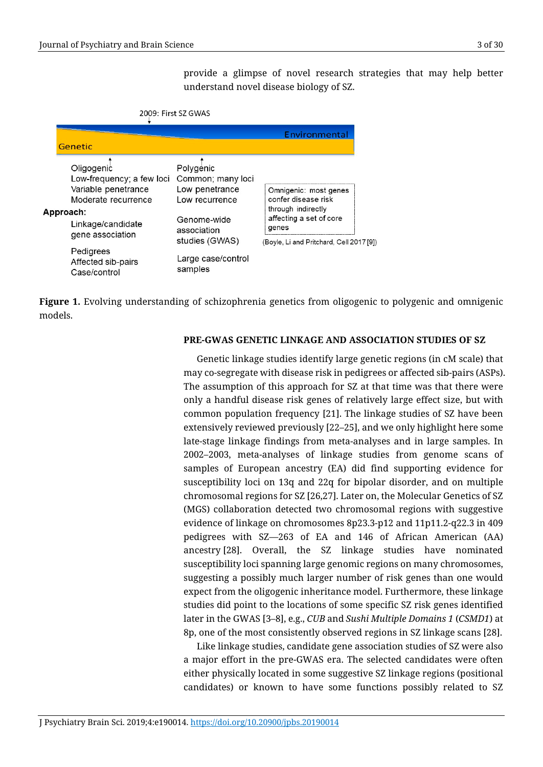provide a glimpse of novel research strategies that may help better understand novel disease biology of SZ.

|  | 2009: First SZ GWAS                                                                                                                         |                                                                                                                    |                                                                                                                                                    |
|--|---------------------------------------------------------------------------------------------------------------------------------------------|--------------------------------------------------------------------------------------------------------------------|----------------------------------------------------------------------------------------------------------------------------------------------------|
|  | Genetic                                                                                                                                     |                                                                                                                    | Environmental                                                                                                                                      |
|  | Oligogenic<br>Low-frequency; a few loci<br>Variable penetrance<br>Moderate recurrence<br>Approach:<br>Linkage/candidate<br>gene association | Polygenic<br>Common; many loci<br>Low penetrance<br>Low recurrence<br>Genome-wide<br>association<br>studies (GWAS) | Omnigenic: most genes<br>confer disease risk<br>through indirectly<br>affecting a set of core<br>genes<br>(Boyle, Li and Pritchard, Cell 2017 [9]) |
|  | Pedigrees<br>Affected sib-pairs<br>Case/control                                                                                             | Large case/control<br>samples                                                                                      |                                                                                                                                                    |

**Figure 1.** Evolving understanding of schizophrenia genetics from oligogenic to polygenic and omnigenic models.

#### **PRE-GWAS GENETIC LINKAGE AND ASSOCIATION STUDIES OF SZ**

Genetic linkage studies identify large genetic regions (in cM scale) that may co-segregate with disease risk in pedigrees or affected sib-pairs (ASPs). The assumption of this approach for SZ at that time was that there were only a handful disease risk genes of relatively large effect size, but with common population frequency [21]. The linkage studies of SZ have been extensively reviewed previously [22–25], and we only highlight here some late-stage linkage findings from meta-analyses and in large samples. In 2002–2003, meta-analyses of linkage studies from genome scans of samples of European ancestry (EA) did find supporting evidence for susceptibility loci on 13q and 22q for bipolar disorder, and on multiple chromosomal regions for SZ [26,27]. Later on, the Molecular Genetics of SZ (MGS) collaboration detected two chromosomal regions with suggestive evidence of linkage on chromosomes 8p23.3-p12 and 11p11.2-q22.3 in 409 pedigrees with SZ—263 of EA and 146 of African American (AA) ancestry [28]. Overall, the SZ linkage studies have nominated susceptibility loci spanning large genomic regions on many chromosomes, suggesting a possibly much larger number of risk genes than one would expect from the oligogenic inheritance model. Furthermore, these linkage studies did point to the locations of some specific SZ risk genes identified later in the GWAS [3–8], e.g., *CUB* and *Sushi Multiple Domains 1* (*CSMD1*) at 8p, one of the most consistently observed regions in SZ linkage scans [28].

Like linkage studies, candidate gene association studies of SZ were also a major effort in the pre-GWAS era. The selected candidates were often either physically located in some suggestive SZ linkage regions (positional candidates) or known to have some functions possibly related to SZ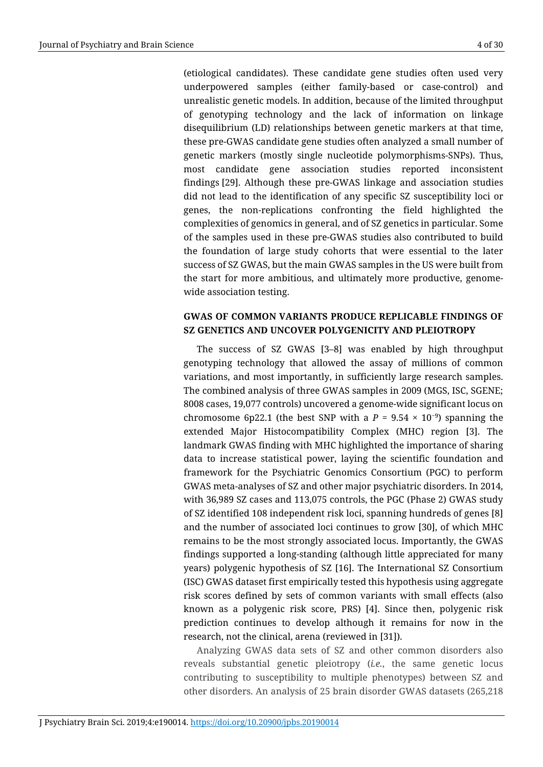(etiological candidates). These candidate gene studies often used very underpowered samples (either family-based or case-control) and unrealistic genetic models. In addition, because of the limited throughput of genotyping technology and the lack of information on linkage disequilibrium (LD) relationships between genetic markers at that time, these pre-GWAS candidate gene studies often analyzed a small number of genetic markers (mostly single nucleotide polymorphisms-SNPs). Thus, most candidate gene association studies reported inconsistent findings [29]. Although these pre-GWAS linkage and association studies did not lead to the identification of any specific SZ susceptibility loci or genes, the non-replications confronting the field highlighted the complexities of genomics in general, and of SZ genetics in particular. Some of the samples used in these pre-GWAS studies also contributed to build the foundation of large study cohorts that were essential to the later success of SZ GWAS, but the main GWAS samples in the US were built from the start for more ambitious, and ultimately more productive, genomewide association testing.

# **GWAS OF COMMON VARIANTS PRODUCE REPLICABLE FINDINGS OF SZ GENETICS AND UNCOVER POLYGENICITY AND PLEIOTROPY**

The success of SZ GWAS [3–8] was enabled by high throughput genotyping technology that allowed the assay of millions of common variations, and most importantly, in sufficiently large research samples. The combined analysis of three GWAS samples in 2009 (MGS, ISC, SGENE; 8008 cases, 19,077 controls) uncovered a genome-wide significant locus on chromosome 6p22.1 (the best SNP with a  $P = 9.54 \times 10^{-9}$ ) spanning the extended Major Histocompatibility Complex (MHC) region [3]. The landmark GWAS finding with MHC highlighted the importance of sharing data to increase statistical power, laying the scientific foundation and framework for the Psychiatric Genomics Consortium (PGC) to perform GWAS meta-analyses of SZ and other major psychiatric disorders. In 2014, with 36,989 SZ cases and 113,075 controls, the PGC (Phase 2) GWAS study of SZ identified 108 independent risk loci, spanning hundreds of genes [8] and the number of associated loci continues to grow [30], of which MHC remains to be the most strongly associated locus. Importantly, the GWAS findings supported a long-standing (although little appreciated for many years) polygenic hypothesis of SZ [16]. The International SZ Consortium (ISC) GWAS dataset first empirically tested this hypothesis using aggregate risk scores defined by sets of common variants with small effects (also known as a polygenic risk score, PRS) [4]. Since then, polygenic risk prediction continues to develop although it remains for now in the research, not the clinical, arena (reviewed in [31]).

Analyzing GWAS data sets of SZ and other common disorders also reveals substantial genetic pleiotropy (*i.e.*, the same genetic locus contributing to susceptibility to multiple phenotypes) between SZ and other disorders. An analysis of 25 brain disorder GWAS datasets (265,218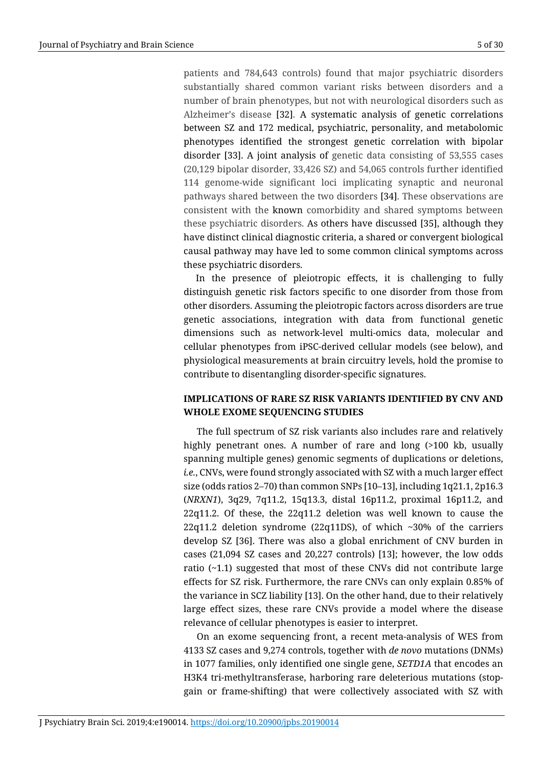patients and 784,643 controls) found that major psychiatric disorders substantially shared common variant risks between disorders and a number of brain phenotypes, but not with neurological disorders such as Alzheimer's disease [32]. A systematic analysis of genetic correlations between SZ and 172 medical, psychiatric, personality, and metabolomic phenotypes identified the strongest genetic correlation with bipolar disorder [33]. A joint analysis of genetic data consisting of 53,555 cases (20,129 bipolar disorder, 33,426 SZ) and 54,065 controls further identified 114 genome-wide significant loci implicating synaptic and neuronal pathways shared between the two disorders [34]. These observations are consistent with the known comorbidity and shared symptoms between these psychiatric disorders. As others have discussed [35], although they have distinct clinical diagnostic criteria, a shared or convergent biological causal pathway may have led to some common clinical symptoms across these psychiatric disorders.

In the presence of pleiotropic effects, it is challenging to fully distinguish genetic risk factors specific to one disorder from those from other disorders. Assuming the pleiotropic factors across disorders are true genetic associations, integration with data from functional genetic dimensions such as network-level multi-omics data, molecular and cellular phenotypes from iPSC-derived cellular models (see below), and physiological measurements at brain circuitry levels, hold the promise to contribute to disentangling disorder-specific signatures.

# **IMPLICATIONS OF RARE SZ RISK VARIANTS IDENTIFIED BY CNV AND WHOLE EXOME SEQUENCING STUDIES**

The full spectrum of SZ risk variants also includes rare and relatively highly penetrant ones. A number of rare and long (>100 kb, usually spanning multiple genes) genomic segments of duplications or deletions, *i.e.*, CNVs, were found strongly associated with SZ with a much larger effect size (odds ratios 2–70) than common SNPs [10–13], including 1q21.1, 2p16.3 (*NRXN1*), 3q29, 7q11.2, 15q13.3, distal 16p11.2, proximal 16p11.2, and  $22q11.2$ . Of these, the  $22q11.2$  deletion was well known to cause the 22q11.2 deletion syndrome (22q11DS), of which  $\sim$ 30% of the carriers develop SZ [36]. There was also a global enrichment of CNV burden in cases (21,094 SZ cases and 20,227 controls) [13]; however, the low odds ratio (~1.1) suggested that most of these CNVs did not contribute large effects for SZ risk. Furthermore, the rare CNVs can only explain 0.85% of the variance in SCZ liability [13]. On the other hand, due to their relatively large effect sizes, these rare CNVs provide a model where the disease relevance of cellular phenotypes is easier to interpret.

On an exome sequencing front, a recent meta-analysis of WES from 4133 SZ cases and 9,274 controls, together with *de novo* mutations (DNMs) in 1077 families, only identified one single gene, *SETD1A* that encodes an H3K4 tri-methyltransferase, harboring rare deleterious mutations (stopgain or frame-shifting) that were collectively associated with SZ with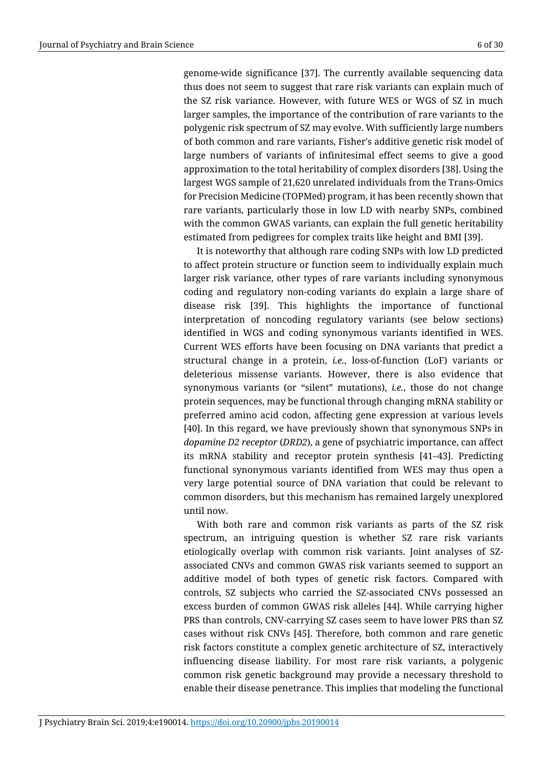genome-wide significance [37]. The currently available sequencing data thus does not seem to suggest that rare risk variants can explain much of the SZ risk variance. However, with future WES or WGS of SZ in much larger samples, the importance of the contribution of rare variants to the polygenic risk spectrum of SZ may evolve. With sufficiently large numbers of both common and rare variants, Fisher's additive genetic risk model of large numbers of variants of infinitesimal effect seems to give a good approximation to the total heritability of complex disorders [38]. Using the largest WGS sample of 21,620 unrelated individuals from the Trans-Omics for Precision Medicine (TOPMed) program, it has been recently shown that rare variants, particularly those in low LD with nearby SNPs, combined with the common GWAS variants, can explain the full genetic heritability estimated from pedigrees for complex traits like height and BMI [39].

It is noteworthy that although rare coding SNPs with low LD predicted to affect protein structure or function seem to individually explain much larger risk variance, other types of rare variants including synonymous coding and regulatory non-coding variants do explain a large share of disease risk [39]. This highlights the importance of functional interpretation of noncoding regulatory variants (see below sections) identified in WGS and coding synonymous variants identified in WES. Current WES efforts have been focusing on DNA variants that predict a structural change in a protein, *i.e.*, loss-of-function (LoF) variants or deleterious missense variants. However, there is also evidence that synonymous variants (or "silent" mutations), *i.e.*, those do not change protein sequences, may be functional through changing mRNA stability or preferred amino acid codon, affecting gene expression at various levels [40]. In this regard, we have previously shown that synonymous SNPs in *dopamine D2 receptor* (*DRD2*), a gene of psychiatric importance, can affect its mRNA stability and receptor protein synthesis [41–43]. Predicting functional synonymous variants identified from WES may thus open a very large potential source of DNA variation that could be relevant to common disorders, but this mechanism has remained largely unexplored until now.

With both rare and common risk variants as parts of the SZ risk spectrum, an intriguing question is whether SZ rare risk variants etiologically overlap with common risk variants. Joint analyses of SZassociated CNVs and common GWAS risk variants seemed to support an additive model of both types of genetic risk factors. Compared with controls, SZ subjects who carried the SZ-associated CNVs possessed an excess burden of common GWAS risk alleles [44]. While carrying higher PRS than controls, CNV-carrying SZ cases seem to have lower PRS than SZ cases without risk CNVs [45]. Therefore, both common and rare genetic risk factors constitute a complex genetic architecture of SZ, interactively influencing disease liability. For most rare risk variants, a polygenic common risk genetic background may provide a necessary threshold to enable their disease penetrance. This implies that modeling the functional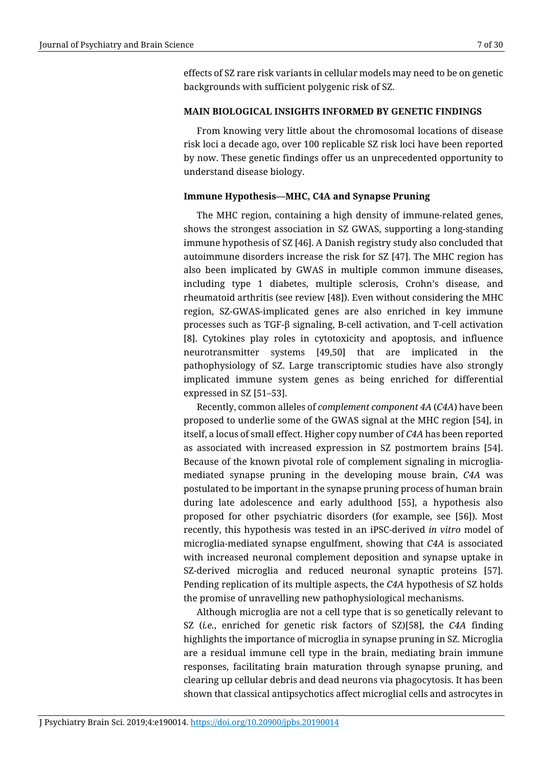effects of SZ rare risk variants in cellular models may need to be on genetic backgrounds with sufficient polygenic risk of SZ.

#### **MAIN BIOLOGICAL INSIGHTS INFORMED BY GENETIC FINDINGS**

From knowing very little about the chromosomal locations of disease risk loci a decade ago, over 100 replicable SZ risk loci have been reported by now. These genetic findings offer us an unprecedented opportunity to understand disease biology.

#### **Immune Hypothesis—MHC, C4A and Synapse Pruning**

The MHC region, containing a high density of immune-related genes, shows the strongest association in SZ GWAS, supporting a long-standing immune hypothesis of SZ [46]. A Danish registry study also concluded that autoimmune disorders increase the risk for SZ [47]. The MHC region has also been implicated by GWAS in multiple common immune diseases, including type 1 diabetes, multiple sclerosis, Crohn's disease, and rheumatoid arthritis (see review [48]). Even without considering the MHC region, SZ-GWAS-implicated genes are also enriched in key immune processes such as TGF-β signaling, B-cell activation, and T-cell activation [8]. Cytokines play roles in cytotoxicity and apoptosis, and influence neurotransmitter systems [49,50] that are implicated in the pathophysiology of SZ. Large transcriptomic studies have also strongly implicated immune system genes as being enriched for differential expressed in SZ [51–53].

Recently, common alleles of *complement component 4A* (*C4A*) have been proposed to underlie some of the GWAS signal at the MHC region [54], in itself, a locus of small effect. Higher copy number of *C4A* has been reported as associated with increased expression in SZ postmortem brains [54]. Because of the known pivotal role of complement signaling in microgliamediated synapse pruning in the developing mouse brain, *C4A* was postulated to be important in the synapse pruning process of human brain during late adolescence and early adulthood [55], a hypothesis also proposed for other psychiatric disorders (for example, see [56]). Most recently, this hypothesis was tested in an iPSC-derived *in vitro* model of microglia-mediated synapse engulfment, showing that *C4A* is associated with increased neuronal complement deposition and synapse uptake in SZ-derived microglia and reduced neuronal synaptic proteins [57]. Pending replication of its multiple aspects, the *C4A* hypothesis of SZ holds the promise of unravelling new pathophysiological mechanisms.

Although microglia are not a cell type that is so genetically relevant to SZ (*i.e.*, enriched for genetic risk factors of SZ)[58], the *C4A* finding highlights the importance of microglia in synapse pruning in SZ. Microglia are a residual immune cell type in the brain, mediating brain immune responses, facilitating brain maturation through synapse pruning, and clearing up cellular debris and dead neurons via phagocytosis. It has been shown that classical antipsychotics affect microglial cells and astrocytes in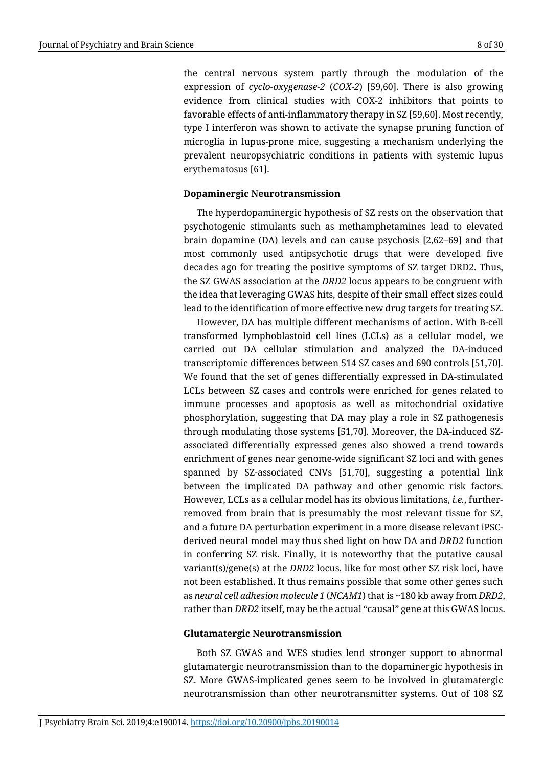the central nervous system partly through the modulation of the expression of *cyclo-oxygenase-2* (*COX-2*) [59,60]. There is also growing evidence from clinical studies with COX-2 inhibitors that points to favorable effects of anti-inflammatory therapy in SZ [59,60]. Most recently, type I interferon was shown to activate the synapse pruning function of microglia in lupus-prone mice, suggesting a mechanism underlying the prevalent neuropsychiatric conditions in patients with systemic lupus erythematosus [61].

# **Dopaminergic Neurotransmission**

The hyperdopaminergic hypothesis of SZ rests on the observation that psychotogenic stimulants such as methamphetamines lead to elevated brain dopamine (DA) levels and can cause psychosis [2,62–69] and that most commonly used antipsychotic drugs that were developed five decades ago for treating the positive symptoms of SZ target DRD2. Thus, the SZ GWAS association at the *DRD2* locus appears to be congruent with the idea that leveraging GWAS hits, despite of their small effect sizes could lead to the identification of more effective new drug targets for treating SZ.

However, DA has multiple different mechanisms of action. With B-cell transformed lymphoblastoid cell lines (LCLs) as a cellular model, we carried out DA cellular stimulation and analyzed the DA-induced transcriptomic differences between 514 SZ cases and 690 controls [51,70]. We found that the set of genes differentially expressed in DA-stimulated LCLs between SZ cases and controls were enriched for genes related to immune processes and apoptosis as well as mitochondrial oxidative phosphorylation, suggesting that DA may play a role in SZ pathogenesis through modulating those systems [51,70]. Moreover, the DA-induced SZassociated differentially expressed genes also showed a trend towards enrichment of genes near genome-wide significant SZ loci and with genes spanned by SZ-associated CNVs [51,70], suggesting a potential link between the implicated DA pathway and other genomic risk factors. However, LCLs as a cellular model has its obvious limitations, *i.e.*, furtherremoved from brain that is presumably the most relevant tissue for SZ, and a future DA perturbation experiment in a more disease relevant iPSCderived neural model may thus shed light on how DA and *DRD2* function in conferring SZ risk. Finally, it is noteworthy that the putative causal variant(s)/gene(s) at the *DRD2* locus, like for most other SZ risk loci, have not been established. It thus remains possible that some other genes such as *neural cell adhesion molecule 1* (*NCAM1*) that is ~180 kb away from *DRD2*, rather than *DRD2* itself, may be the actual "causal" gene at this GWAS locus.

#### **Glutamatergic Neurotransmission**

Both SZ GWAS and WES studies lend stronger support to abnormal glutamatergic neurotransmission than to the dopaminergic hypothesis in SZ. More GWAS-implicated genes seem to be involved in glutamatergic neurotransmission than other neurotransmitter systems. Out of 108 SZ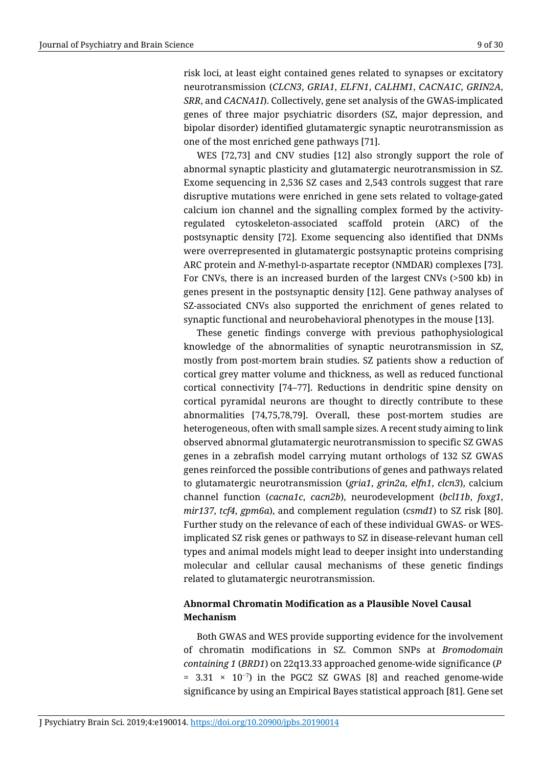risk loci, at least eight contained genes related to synapses or excitatory neurotransmission (*CLCN3*, *GRIA1*, *ELFN1*, *CALHM1*, *CACNA1C*, *GRIN2A*, *SRR*, and *CACNA1I*). Collectively, gene set analysis of the GWAS-implicated genes of three major psychiatric disorders (SZ, major depression, and bipolar disorder) identified glutamatergic synaptic neurotransmission as one of the most enriched gene pathways [71].

WES [72,73] and CNV studies [12] also strongly support the role of abnormal synaptic plasticity and glutamatergic neurotransmission in SZ. Exome sequencing in 2,536 SZ cases and 2,543 controls suggest that rare disruptive mutations were enriched in gene sets related to voltage-gated calcium ion channel and the signalling complex formed by the activityregulated cytoskeleton-associated scaffold protein (ARC) of the postsynaptic density [72]. Exome sequencing also identified that DNMs were overrepresented in glutamatergic postsynaptic proteins comprising ARC protein and *N*-methyl-p-aspartate receptor (NMDAR) complexes [73]. For CNVs, there is an increased burden of the largest CNVs (>500 kb) in genes present in the postsynaptic density [12]. Gene pathway analyses of SZ-associated CNVs also supported the enrichment of genes related to synaptic functional and neurobehavioral phenotypes in the mouse [13].

These genetic findings converge with previous pathophysiological knowledge of the abnormalities of synaptic neurotransmission in SZ, mostly from post-mortem brain studies. SZ patients show a reduction of cortical grey matter volume and thickness, as well as reduced functional cortical connectivity [74–77]. Reductions in dendritic spine density on cortical pyramidal neurons are thought to directly contribute to these abnormalities [74,75,78,79]. Overall, these post-mortem studies are heterogeneous, often with small sample sizes. A recent study aiming to link observed abnormal glutamatergic neurotransmission to specific SZ GWAS genes in a zebrafish model carrying mutant orthologs of 132 SZ GWAS genes reinforced the possible contributions of genes and pathways related to glutamatergic neurotransmission (*gria1*, *grin2a*, *elfn1*, *clcn3*), calcium channel function (*cacna1c*, *cacn2b*), neurodevelopment (*bcl11b*, *foxg1*, *mir137*, *tcf4*, *gpm6a*), and complement regulation (*csmd1*) to SZ risk [80]. Further study on the relevance of each of these individual GWAS- or WESimplicated SZ risk genes or pathways to SZ in disease-relevant human cell types and animal models might lead to deeper insight into understanding molecular and cellular causal mechanisms of these genetic findings related to glutamatergic neurotransmission.

# **Abnormal Chromatin Modification as a Plausible Novel Causal Mechanism**

Both GWAS and WES provide supporting evidence for the involvement of chromatin modifications in SZ. Common SNPs at *Bromodomain containing 1* (*BRD1*) on 22q13.33 approached genome-wide significance (*P* =  $3.31 \times 10^{-7}$ ) in the PGC2 SZ GWAS [8] and reached genome-wide significance by using an Empirical Bayes statistical approach [81]. Gene set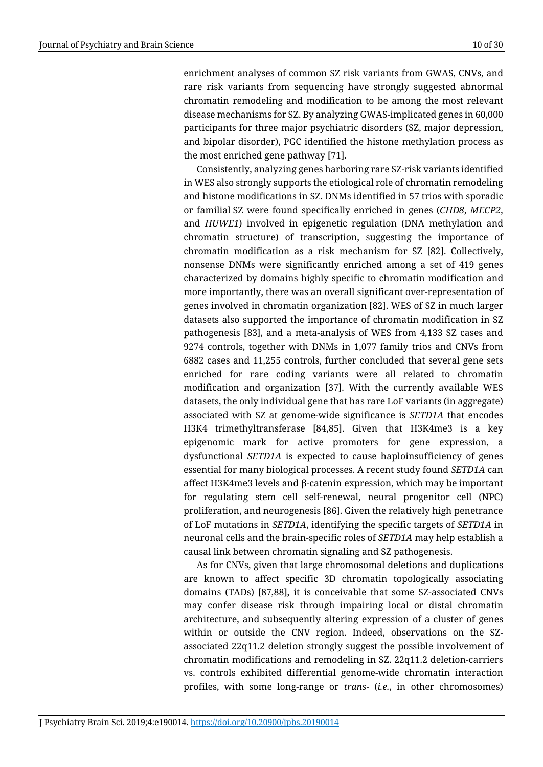enrichment analyses of common SZ risk variants from GWAS, CNVs, and rare risk variants from sequencing have strongly suggested abnormal chromatin remodeling and modification to be among the most relevant disease mechanisms for SZ. By analyzing GWAS-implicated genes in 60,000 participants for three major psychiatric disorders (SZ, major depression, and bipolar disorder), PGC identified the histone methylation process as the most enriched gene pathway [71].

Consistently, analyzing genes harboring rare SZ-risk variants identified in WES also strongly supports the etiological role of chromatin remodeling and histone modifications in SZ. DNMs identified in 57 trios with sporadic or familial SZ were found specifically enriched in genes (*CHD8*, *MECP2*, and *HUWE1*) involved in epigenetic regulation (DNA methylation and chromatin structure) of transcription, suggesting the importance of chromatin modification as a risk mechanism for SZ [82]. Collectively, nonsense DNMs were significantly enriched among a set of 419 genes characterized by domains highly specific to chromatin modification and more importantly, there was an overall significant over-representation of genes involved in chromatin organization [82]. WES of SZ in much larger datasets also supported the importance of chromatin modification in SZ pathogenesis [83], and a meta-analysis of WES from 4,133 SZ cases and 9274 controls, together with DNMs in 1,077 family trios and CNVs from 6882 cases and 11,255 controls, further concluded that several gene sets enriched for rare coding variants were all related to chromatin modification and organization [37]. With the currently available WES datasets, the only individual gene that has rare LoF variants (in aggregate) associated with SZ at genome-wide significance is *SETD1A* that encodes H3K4 trimethyltransferase [84,85]. Given that H3K4me3 is a key epigenomic mark for active promoters for gene expression, a dysfunctional *SETD1A* is expected to cause haploinsufficiency of genes essential for many biological processes. A recent study found *SETD1A* can affect H3K4me3 levels and β-catenin expression, which may be important for regulating stem cell self-renewal, neural progenitor cell (NPC) proliferation, and neurogenesis [86]. Given the relatively high penetrance of LoF mutations in *SETD1A*, identifying the specific targets of *SETD1A* in neuronal cells and the brain-specific roles of *SETD1A* may help establish a causal link between chromatin signaling and SZ pathogenesis.

As for CNVs, given that large chromosomal deletions and duplications are known to affect specific 3D chromatin topologically associating domains (TADs) [87,88], it is conceivable that some SZ-associated CNVs may confer disease risk through impairing local or distal chromatin architecture, and subsequently altering expression of a cluster of genes within or outside the CNV region. Indeed, observations on the SZassociated 22q11.2 deletion strongly suggest the possible involvement of chromatin modifications and remodeling in SZ. 22q11.2 deletion-carriers vs. controls exhibited differential genome-wide chromatin interaction profiles, with some long-range or *trans*- (*i.e.*, in other chromosomes)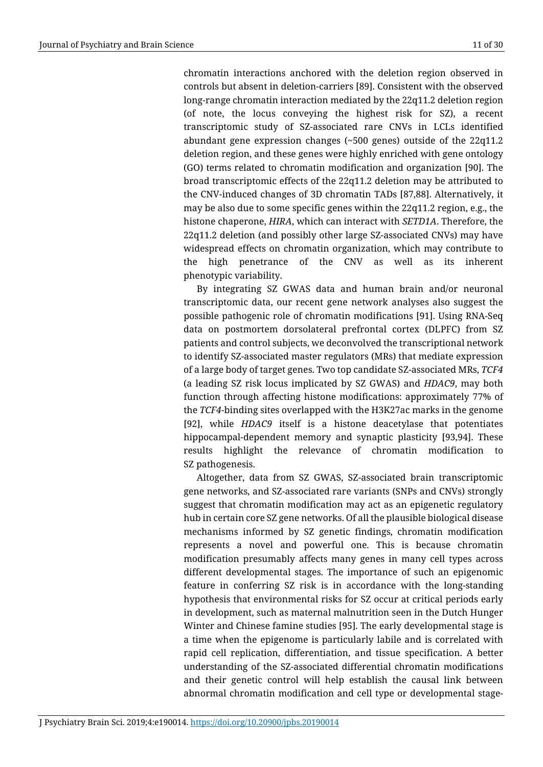chromatin interactions anchored with the deletion region observed in controls but absent in deletion-carriers [89]. Consistent with the observed long-range chromatin interaction mediated by the 22q11.2 deletion region (of note, the locus conveying the highest risk for SZ), a recent transcriptomic study of SZ-associated rare CNVs in LCLs identified abundant gene expression changes (~500 genes) outside of the 22q11.2 deletion region, and these genes were highly enriched with gene ontology (GO) terms related to chromatin modification and organization [90]. The broad transcriptomic effects of the 22q11.2 deletion may be attributed to the CNV-induced changes of 3D chromatin TADs [87,88]. Alternatively, it may be also due to some specific genes within the 22q11.2 region, e.g., the histone chaperone, *HIRA*, which can interact with *SETD1A*. Therefore, the 22q11.2 deletion (and possibly other large SZ-associated CNVs) may have widespread effects on chromatin organization, which may contribute to the high penetrance of the CNV as well as its inherent phenotypic variability.

By integrating SZ GWAS data and human brain and/or neuronal transcriptomic data, our recent gene network analyses also suggest the possible pathogenic role of chromatin modifications [91]. Using RNA-Seq data on postmortem dorsolateral prefrontal cortex (DLPFC) from SZ patients and control subjects, we deconvolved the transcriptional network to identify SZ-associated master regulators (MRs) that mediate expression of a large body of target genes. Two top candidate SZ-associated MRs, *TCF4* (a leading SZ risk locus implicated by SZ GWAS) and *HDAC9*, may both function through affecting histone modifications: approximately 77% of the *TCF4*-binding sites overlapped with the H3K27ac marks in the genome [92], while *HDAC9* itself is a histone deacetylase that potentiates hippocampal-dependent memory and synaptic plasticity [93,94]. These results highlight the relevance of chromatin modification to SZ pathogenesis.

Altogether, data from SZ GWAS, SZ-associated brain transcriptomic gene networks, and SZ-associated rare variants (SNPs and CNVs) strongly suggest that chromatin modification may act as an epigenetic regulatory hub in certain core SZ gene networks. Of all the plausible biological disease mechanisms informed by SZ genetic findings, chromatin modification represents a novel and powerful one. This is because chromatin modification presumably affects many genes in many cell types across different developmental stages. The importance of such an epigenomic feature in conferring SZ risk is in accordance with the long-standing hypothesis that environmental risks for SZ occur at critical periods early in development, such as maternal malnutrition seen in the Dutch Hunger Winter and Chinese famine studies [95]. The early developmental stage is a time when the epigenome is particularly labile and is correlated with rapid cell replication, differentiation, and tissue specification. A better understanding of the SZ-associated differential chromatin modifications and their genetic control will help establish the causal link between abnormal chromatin modification and cell type or developmental stage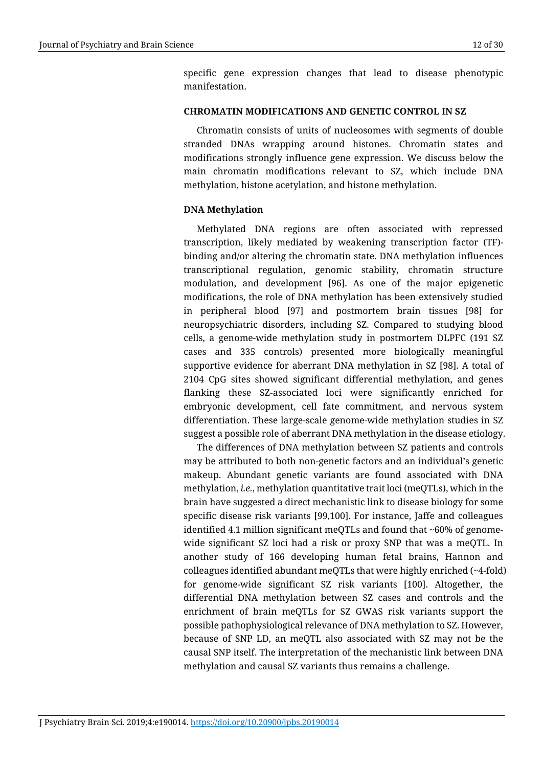specific gene expression changes that lead to disease phenotypic manifestation.

### **CHROMATIN MODIFICATIONS AND GENETIC CONTROL IN SZ**

Chromatin consists of units of nucleosomes with segments of double stranded DNAs wrapping around histones. Chromatin states and modifications strongly influence gene expression. We discuss below the main chromatin modifications relevant to SZ, which include DNA methylation, histone acetylation, and histone methylation.

# **DNA Methylation**

Methylated DNA regions are often associated with repressed transcription, likely mediated by weakening transcription factor (TF) binding and/or altering the chromatin state. DNA methylation influences transcriptional regulation, genomic stability, chromatin structure modulation, and development [96]. As one of the major epigenetic modifications, the role of DNA methylation has been extensively studied in peripheral blood [97] and postmortem brain tissues [98] for neuropsychiatric disorders, including SZ. Compared to studying blood cells, a genome-wide methylation study in postmortem DLPFC (191 SZ cases and 335 controls) presented more biologically meaningful supportive evidence for aberrant DNA methylation in SZ [98]. A total of 2104 CpG sites showed significant differential methylation, and genes flanking these SZ-associated loci were significantly enriched for embryonic development, cell fate commitment, and nervous system differentiation. These large-scale genome-wide methylation studies in SZ suggest a possible role of aberrant DNA methylation in the disease etiology.

The differences of DNA methylation between SZ patients and controls may be attributed to both non-genetic factors and an individual's genetic makeup. Abundant genetic variants are found associated with DNA methylation, *i.e.*, methylation quantitative trait loci (meQTLs), which in the brain have suggested a direct mechanistic link to disease biology for some specific disease risk variants [99,100]. For instance, Jaffe and colleagues identified 4.1 million significant meQTLs and found that ~60% of genomewide significant SZ loci had a risk or proxy SNP that was a meQTL. In another study of 166 developing human fetal brains, Hannon and colleagues identified abundant meQTLs that were highly enriched  $(\sim4\text{-fold})$ for genome-wide significant SZ risk variants [100]. Altogether, the differential DNA methylation between SZ cases and controls and the enrichment of brain meQTLs for SZ GWAS risk variants support the possible pathophysiological relevance of DNA methylation to SZ. However, because of SNP LD, an meQTL also associated with SZ may not be the causal SNP itself. The interpretation of the mechanistic link between DNA methylation and causal SZ variants thus remains a challenge.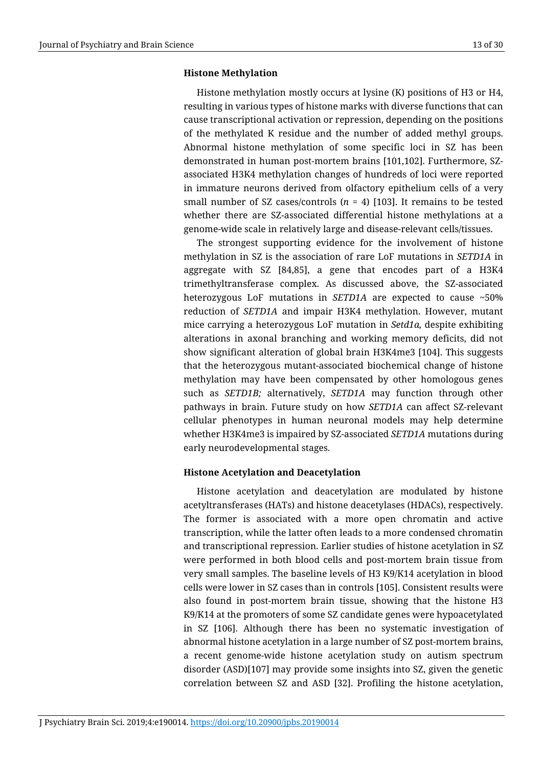# **Histone Methylation**

Histone methylation mostly occurs at lysine (K) positions of H3 or H4, resulting in various types of histone marks with diverse functions that can cause transcriptional activation or repression, depending on the positions of the methylated K residue and the number of added methyl groups. Abnormal histone methylation of some specific loci in SZ has been demonstrated in human post-mortem brains [101,102]. Furthermore, SZassociated H3K4 methylation changes of hundreds of loci were reported in immature neurons derived from olfactory epithelium cells of a very small number of SZ cases/controls  $(n = 4)$  [103]. It remains to be tested whether there are SZ-associated differential histone methylations at a genome-wide scale in relatively large and disease-relevant cells/tissues.

The strongest supporting evidence for the involvement of histone methylation in SZ is the association of rare LoF mutations in *SETD1A* in aggregate with SZ [84,85], a gene that encodes part of a H3K4 trimethyltransferase complex. As discussed above, the SZ-associated heterozygous LoF mutations in *SETD1A* are expected to cause ~50% reduction of *SETD1A* and impair H3K4 methylation. However, mutant mice carrying a heterozygous LoF mutation in *Setd1a,* despite exhibiting alterations in axonal branching and working memory deficits, did not show significant alteration of global brain H3K4me3 [104]. This suggests that the heterozygous mutant-associated biochemical change of histone methylation may have been compensated by other homologous genes such as *SETD1B;* alternatively, *SETD1A* may function through other pathways in brain. Future study on how *SETD1A* can affect SZ-relevant cellular phenotypes in human neuronal models may help determine whether H3K4me3 is impaired by SZ-associated *SETD1A* mutations during early neurodevelopmental stages.

# **Histone Acetylation and Deacetylation**

Histone acetylation and deacetylation are modulated by histone acetyltransferases (HATs) and histone deacetylases (HDACs), respectively. The former is associated with a more open chromatin and active transcription, while the latter often leads to a more condensed chromatin and transcriptional repression. Earlier studies of histone acetylation in SZ were performed in both blood cells and post-mortem brain tissue from very small samples. The baseline levels of H3 K9/K14 acetylation in blood cells were lower in SZ cases than in controls [105]. Consistent results were also found in post-mortem brain tissue, showing that the histone H3 K9/K14 at the promoters of some SZ candidate genes were hypoacetylated in SZ [106]. Although there has been no systematic investigation of abnormal histone acetylation in a large number of SZ post-mortem brains, a recent genome-wide histone acetylation study on autism spectrum disorder (ASD)[107] may provide some insights into SZ, given the genetic correlation between SZ and ASD [32]. Profiling the histone acetylation,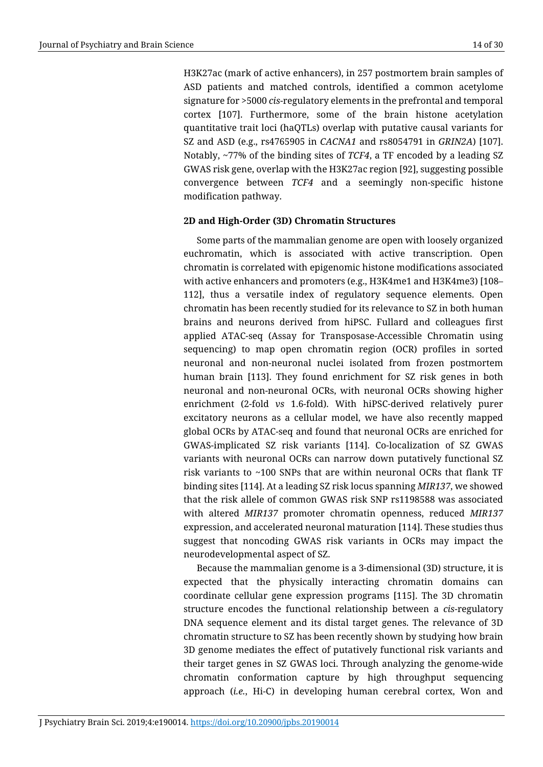H3K27ac (mark of active enhancers), in 257 postmortem brain samples of ASD patients and matched controls, identified a common acetylome signature for >5000 *cis*-regulatory elements in the prefrontal and temporal cortex [107]. Furthermore, some of the brain histone acetylation quantitative trait loci (haQTLs) overlap with putative causal variants for SZ and ASD (e.g., rs4765905 in *CACNA1* and rs8054791 in *GRIN2A*) [107]. Notably, ~77% of the binding sites of *TCF4*, a TF encoded by a leading SZ GWAS risk gene, overlap with the H3K27ac region [92], suggesting possible convergence between *TCF4* and a seemingly non-specific histone modification pathway.

# **2D and High-Order (3D) Chromatin Structures**

Some parts of the mammalian genome are open with loosely organized euchromatin, which is associated with active transcription. Open chromatin is correlated with epigenomic histone modifications associated with active enhancers and promoters (e.g., H3K4me1 and H3K4me3) [108– 112], thus a versatile index of regulatory sequence elements. Open chromatin has been recently studied for its relevance to SZ in both human brains and neurons derived from hiPSC. Fullard and colleagues first applied ATAC-seq (Assay for Transposase-Accessible Chromatin using sequencing) to map open chromatin region (OCR) profiles in sorted neuronal and non-neuronal nuclei isolated from frozen postmortem human brain [113]. They found enrichment for SZ risk genes in both neuronal and non-neuronal OCRs, with neuronal OCRs showing higher enrichment (2-fold *vs* 1.6-fold). With hiPSC-derived relatively purer excitatory neurons as a cellular model, we have also recently mapped global OCRs by ATAC-seq and found that neuronal OCRs are enriched for GWAS-implicated SZ risk variants [114]. Co-localization of SZ GWAS variants with neuronal OCRs can narrow down putatively functional SZ risk variants to  $\sim$ 100 SNPs that are within neuronal OCRs that flank TF binding sites [114]. At a leading SZ risk locus spanning *MIR137*, we showed that the risk allele of common GWAS risk SNP rs1198588 was associated with altered *MIR137* promoter chromatin openness, reduced *MIR137* expression, and accelerated neuronal maturation [114]. These studies thus suggest that noncoding GWAS risk variants in OCRs may impact the neurodevelopmental aspect of SZ.

Because the mammalian genome is a 3-dimensional (3D) structure, it is expected that the physically interacting chromatin domains can coordinate cellular gene expression programs [115]. The 3D chromatin structure encodes the functional relationship between a *cis*-regulatory DNA sequence element and its distal target genes. The relevance of 3D chromatin structure to SZ has been recently shown by studying how brain 3D genome mediates the effect of putatively functional risk variants and their target genes in SZ GWAS loci. Through analyzing the genome-wide chromatin conformation capture by high throughput sequencing approach (*i.e.*, Hi-C) in developing human cerebral cortex, Won and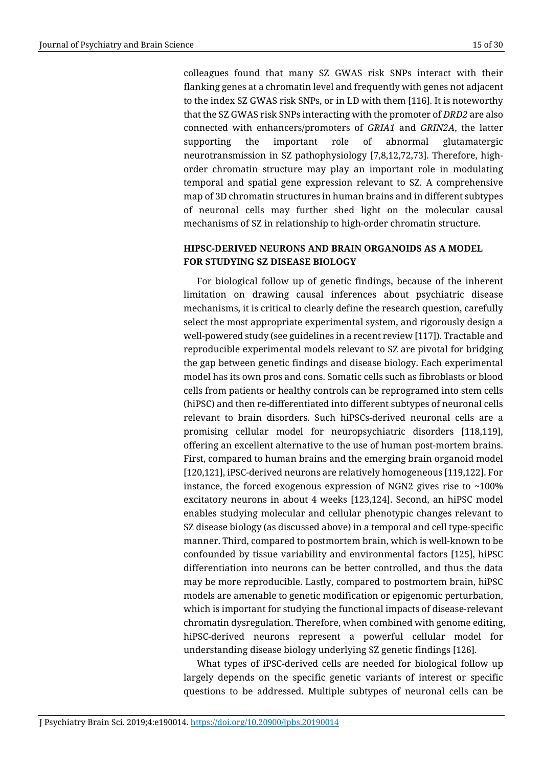colleagues found that many SZ GWAS risk SNPs interact with their flanking genes at a chromatin level and frequently with genes not adjacent to the index SZ GWAS risk SNPs, or in LD with them [116]. It is noteworthy that the SZ GWAS risk SNPs interacting with the promoter of *DRD2* are also connected with enhancers/promoters of *GRIA1* and *GRIN2A*, the latter supporting the important role of abnormal glutamatergic neurotransmission in SZ pathophysiology [7,8,12,72,73]. Therefore, highorder chromatin structure may play an important role in modulating temporal and spatial gene expression relevant to SZ. A comprehensive map of 3D chromatin structures in human brains and in different subtypes of neuronal cells may further shed light on the molecular causal mechanisms of SZ in relationship to high-order chromatin structure.

# **HIPSC-DERIVED NEURONS AND BRAIN ORGANOIDS AS A MODEL FOR STUDYING SZ DISEASE BIOLOGY**

For biological follow up of genetic findings, because of the inherent limitation on drawing causal inferences about psychiatric disease mechanisms, it is critical to clearly define the research question, carefully select the most appropriate experimental system, and rigorously design a well-powered study (see guidelines in a recent review [117]). Tractable and reproducible experimental models relevant to SZ are pivotal for bridging the gap between genetic findings and disease biology. Each experimental model has its own pros and cons. Somatic cells such as fibroblasts or blood cells from patients or healthy controls can be reprogramed into stem cells (hiPSC) and then re-differentiated into different subtypes of neuronal cells relevant to brain disorders. Such hiPSCs-derived neuronal cells are a promising cellular model for neuropsychiatric disorders [118,119], offering an excellent alternative to the use of human post-mortem brains. First, compared to human brains and the emerging brain organoid model [120,121], iPSC-derived neurons are relatively homogeneous [119,122]. For instance, the forced exogenous expression of NGN2 gives rise to ~100% excitatory neurons in about 4 weeks [123,124]. Second, an hiPSC model enables studying molecular and cellular phenotypic changes relevant to SZ disease biology (as discussed above) in a temporal and cell type-specific manner. Third, compared to postmortem brain, which is well-known to be confounded by tissue variability and environmental factors [125], hiPSC differentiation into neurons can be better controlled, and thus the data may be more reproducible. Lastly, compared to postmortem brain, hiPSC models are amenable to genetic modification or epigenomic perturbation, which is important for studying the functional impacts of disease-relevant chromatin dysregulation. Therefore, when combined with genome editing, hiPSC-derived neurons represent a powerful cellular model for understanding disease biology underlying SZ genetic findings [126].

What types of iPSC-derived cells are needed for biological follow up largely depends on the specific genetic variants of interest or specific questions to be addressed. Multiple subtypes of neuronal cells can be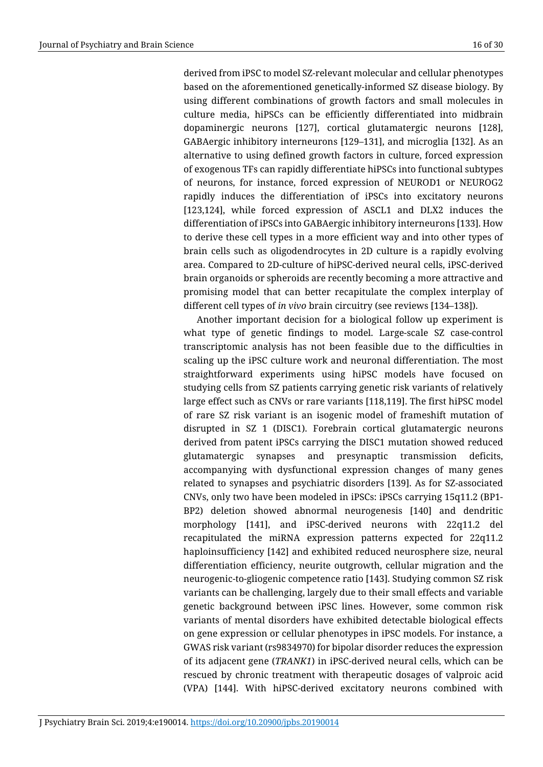derived from iPSC to model SZ-relevant molecular and cellular phenotypes based on the aforementioned genetically-informed SZ disease biology. By using different combinations of growth factors and small molecules in culture media, hiPSCs can be efficiently differentiated into midbrain dopaminergic neurons [127], cortical glutamatergic neurons [128], GABAergic inhibitory interneurons [129–131], and microglia [132]. As an alternative to using defined growth factors in culture, forced expression of exogenous TFs can rapidly differentiate hiPSCs into functional subtypes of neurons, for instance, forced expression of NEUROD1 or NEUROG2 rapidly induces the differentiation of iPSCs into excitatory neurons [123,124], while forced expression of ASCL1 and DLX2 induces the differentiation of iPSCs into GABAergic inhibitory interneurons [133]. How to derive these cell types in a more efficient way and into other types of brain cells such as oligodendrocytes in 2D culture is a rapidly evolving area. Compared to 2D-culture of hiPSC-derived neural cells, iPSC-derived brain organoids or spheroids are recently becoming a more attractive and promising model that can better recapitulate the complex interplay of different cell types of *in vivo* brain circuitry (see reviews [134–138]).

Another important decision for a biological follow up experiment is what type of genetic findings to model. Large-scale SZ case-control transcriptomic analysis has not been feasible due to the difficulties in scaling up the iPSC culture work and neuronal differentiation. The most straightforward experiments using hiPSC models have focused on studying cells from SZ patients carrying genetic risk variants of relatively large effect such as CNVs or rare variants [118,119]. The first hiPSC model of rare SZ risk variant is an isogenic model of frameshift mutation of disrupted in SZ 1 (DISC1). Forebrain cortical glutamatergic neurons derived from patent iPSCs carrying the DISC1 mutation showed reduced glutamatergic synapses and presynaptic transmission deficits, accompanying with dysfunctional expression changes of many genes related to synapses and psychiatric disorders [139]. As for SZ-associated CNVs, only two have been modeled in iPSCs: iPSCs carrying 15q11.2 (BP1- BP2) deletion showed abnormal neurogenesis [140] and dendritic morphology [141], and iPSC-derived neurons with 22q11.2 del recapitulated the miRNA expression patterns expected for 22q11.2 haploinsufficiency [142] and exhibited reduced neurosphere size, neural differentiation efficiency, neurite outgrowth, cellular migration and the neurogenic-to-gliogenic competence ratio [143]. Studying common SZ risk variants can be challenging, largely due to their small effects and variable genetic background between iPSC lines. However, some common risk variants of mental disorders have exhibited detectable biological effects on gene expression or cellular phenotypes in iPSC models. For instance, a GWAS risk variant (rs9834970) for bipolar disorder reduces the expression of its adjacent gene (*TRANK1*) in iPSC-derived neural cells, which can be rescued by chronic treatment with therapeutic dosages of valproic acid (VPA) [144]. With hiPSC-derived excitatory neurons combined with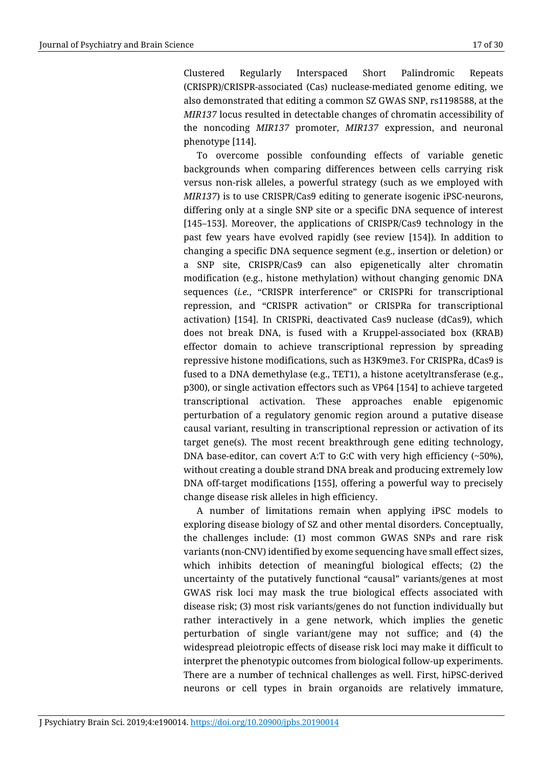Clustered Regularly Interspaced Short Palindromic Repeats (CRISPR)/CRISPR-associated (Cas) nuclease-mediated genome editing, we also demonstrated that editing a common SZ GWAS SNP, rs1198588, at the *MIR137* locus resulted in detectable changes of chromatin accessibility of the noncoding *MIR137* promoter, *MIR137* expression, and neuronal phenotype [114].

To overcome possible confounding effects of variable genetic backgrounds when comparing differences between cells carrying risk versus non-risk alleles, a powerful strategy (such as we employed with *MIR137*) is to use CRISPR/Cas9 editing to generate isogenic iPSC-neurons, differing only at a single SNP site or a specific DNA sequence of interest [145–153]. Moreover, the applications of CRISPR/Cas9 technology in the past few years have evolved rapidly (see review [154]). In addition to changing a specific DNA sequence segment (e.g., insertion or deletion) or a SNP site, CRISPR/Cas9 can also epigenetically alter chromatin modification (e.g., histone methylation) without changing genomic DNA sequences (*i.e.*, "CRISPR interference" or CRISPRi for transcriptional repression, and "CRISPR activation" or CRISPRa for transcriptional activation) [154]. In CRISPRi, deactivated Cas9 nuclease (dCas9), which does not break DNA, is fused with a Kruppel-associated box (KRAB) effector domain to achieve transcriptional repression by spreading repressive histone modifications, such as H3K9me3. For CRISPRa, dCas9 is fused to a DNA demethylase (e.g., TET1), a histone acetyltransferase (e.g., p300), or single activation effectors such as VP64 [154] to achieve targeted transcriptional activation. These approaches enable epigenomic perturbation of a regulatory genomic region around a putative disease causal variant, resulting in transcriptional repression or activation of its target gene(s). The most recent breakthrough gene editing technology, DNA base-editor, can covert A:T to G:C with very high efficiency (~50%), without creating a double strand DNA break and producing extremely low DNA off-target modifications [155], offering a powerful way to precisely change disease risk alleles in high efficiency.

A number of limitations remain when applying iPSC models to exploring disease biology of SZ and other mental disorders. Conceptually, the challenges include: (1) most common GWAS SNPs and rare risk variants (non-CNV) identified by exome sequencing have small effect sizes, which inhibits detection of meaningful biological effects; (2) the uncertainty of the putatively functional "causal" variants/genes at most GWAS risk loci may mask the true biological effects associated with disease risk; (3) most risk variants/genes do not function individually but rather interactively in a gene network, which implies the genetic perturbation of single variant/gene may not suffice; and (4) the widespread pleiotropic effects of disease risk loci may make it difficult to interpret the phenotypic outcomes from biological follow-up experiments. There are a number of technical challenges as well. First, hiPSC-derived neurons or cell types in brain organoids are relatively immature,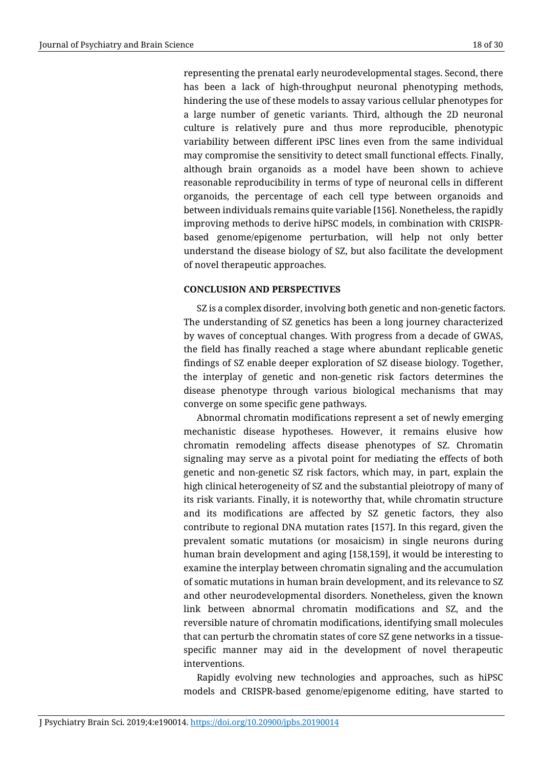representing the prenatal early neurodevelopmental stages. Second, there has been a lack of high-throughput neuronal phenotyping methods, hindering the use of these models to assay various cellular phenotypes for a large number of genetic variants. Third, although the 2D neuronal culture is relatively pure and thus more reproducible, phenotypic variability between different iPSC lines even from the same individual may compromise the sensitivity to detect small functional effects. Finally, although brain organoids as a model have been shown to achieve reasonable reproducibility in terms of type of neuronal cells in different organoids, the percentage of each cell type between organoids and between individuals remains quite variable [156]. Nonetheless, the rapidly improving methods to derive hiPSC models, in combination with CRISPRbased genome/epigenome perturbation, will help not only better understand the disease biology of SZ, but also facilitate the development of novel therapeutic approaches.

# **CONCLUSION AND PERSPECTIVES**

SZ is a complex disorder, involving both genetic and non-genetic factors. The understanding of SZ genetics has been a long journey characterized by waves of conceptual changes. With progress from a decade of GWAS, the field has finally reached a stage where abundant replicable genetic findings of SZ enable deeper exploration of SZ disease biology. Together, the interplay of genetic and non-genetic risk factors determines the disease phenotype through various biological mechanisms that may converge on some specific gene pathways.

Abnormal chromatin modifications represent a set of newly emerging mechanistic disease hypotheses. However, it remains elusive how chromatin remodeling affects disease phenotypes of SZ. Chromatin signaling may serve as a pivotal point for mediating the effects of both genetic and non-genetic SZ risk factors, which may, in part, explain the high clinical heterogeneity of SZ and the substantial pleiotropy of many of its risk variants. Finally, it is noteworthy that, while chromatin structure and its modifications are affected by SZ genetic factors, they also contribute to regional DNA mutation rates [157]. In this regard, given the prevalent somatic mutations (or mosaicism) in single neurons during human brain development and aging [158,159], it would be interesting to examine the interplay between chromatin signaling and the accumulation of somatic mutations in human brain development, and its relevance to SZ and other neurodevelopmental disorders. Nonetheless, given the known link between abnormal chromatin modifications and SZ, and the reversible nature of chromatin modifications, identifying small molecules that can perturb the chromatin states of core SZ gene networks in a tissuespecific manner may aid in the development of novel therapeutic interventions.

Rapidly evolving new technologies and approaches, such as hiPSC models and CRISPR-based genome/epigenome editing, have started to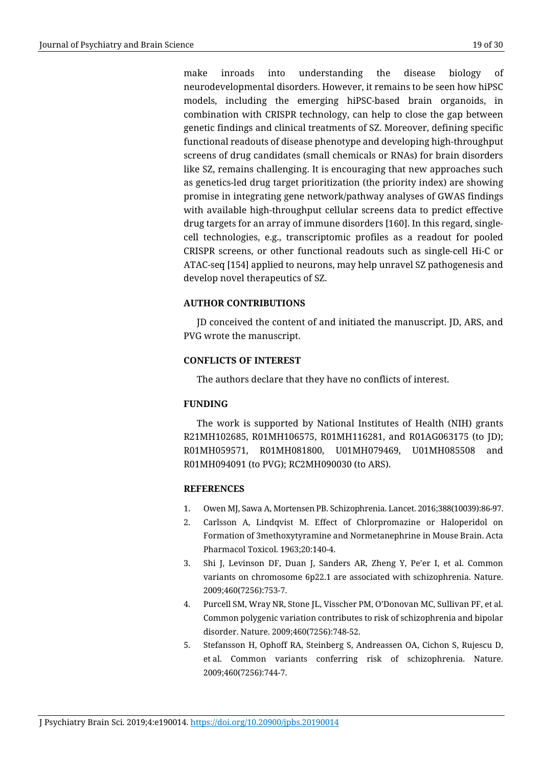make inroads into understanding the disease biology of neurodevelopmental disorders. However, it remains to be seen how hiPSC models, including the emerging hiPSC-based brain organoids, in combination with CRISPR technology, can help to close the gap between genetic findings and clinical treatments of SZ. Moreover, defining specific functional readouts of disease phenotype and developing high-throughput screens of drug candidates (small chemicals or RNAs) for brain disorders like SZ, remains challenging. It is encouraging that new approaches such as genetics-led drug target prioritization (the priority index) are showing promise in integrating gene network/pathway analyses of GWAS findings with available high-throughput cellular screens data to predict effective drug targets for an array of immune disorders [160]. In this regard, singlecell technologies, e.g., transcriptomic profiles as a readout for pooled CRISPR screens, or other functional readouts such as single-cell Hi-C or ATAC-seq [154] applied to neurons, may help unravel SZ pathogenesis and develop novel therapeutics of SZ.

# **AUTHOR CONTRIBUTIONS**

JD conceived the content of and initiated the manuscript. JD, ARS, and PVG wrote the manuscript.

# **CONFLICTS OF INTEREST**

The authors declare that they have no conflicts of interest.

# **FUNDING**

The work is supported by National Institutes of Health (NIH) grants R21MH102685, R01MH106575, R01MH116281, and R01AG063175 (to JD); R01MH059571, R01MH081800, U01MH079469, U01MH085508 and R01MH094091 (to PVG); RC2MH090030 (to ARS).

# **REFERENCES**

- 1. Owen MJ, Sawa A, Mortensen PB. Schizophrenia. Lancet. 2016;388(10039):86-97.
- 2. Carlsson A, Lindqvist M. Effect of Chlorpromazine or Haloperidol on Formation of 3methoxytyramine and Normetanephrine in Mouse Brain. Acta Pharmacol Toxicol. 1963;20:140-4.
- 3. Shi J, Levinson DF, Duan J, Sanders AR, Zheng Y, Pe'er I, et al. Common variants on chromosome 6p22.1 are associated with schizophrenia. Nature. 2009;460(7256):753-7.
- 4. Purcell SM, Wray NR, Stone JL, Visscher PM, O'Donovan MC, Sullivan PF, et al. Common polygenic variation contributes to risk of schizophrenia and bipolar disorder. Nature. 2009;460(7256):748-52.
- 5. Stefansson H, Ophoff RA, Steinberg S, Andreassen OA, Cichon S, Rujescu D, et al. Common variants conferring risk of schizophrenia. Nature. 2009;460(7256):744-7.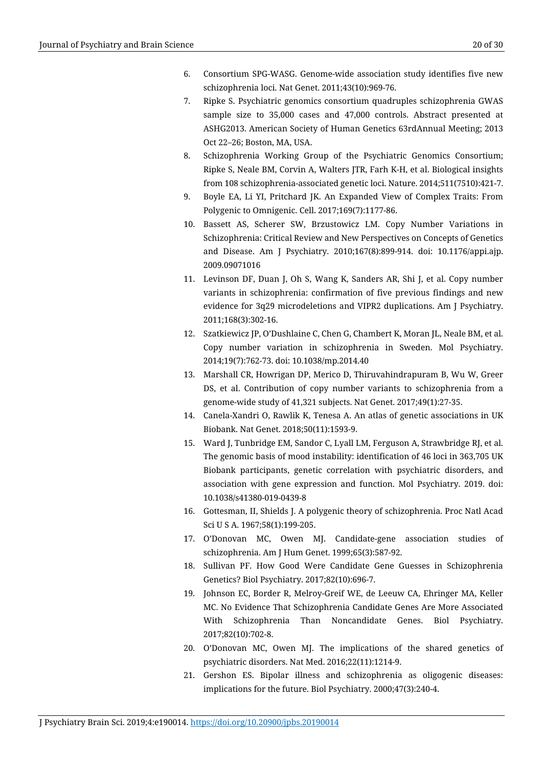- 6. Consortium SPG-WASG. Genome-wide association study identifies five new schizophrenia loci. Nat Genet. 2011;43(10):969-76.
- 7. Ripke S. Psychiatric genomics consortium quadruples schizophrenia GWAS sample size to 35,000 cases and 47,000 controls. Abstract presented at ASHG2013. American Society of Human Genetics 63rdAnnual Meeting; 2013 Oct 22–26; Boston, MA, USA.
- 8. Schizophrenia Working Group of the Psychiatric Genomics Consortium; Ripke S, Neale BM, Corvin A, Walters JTR, Farh K-H, et al. Biological insights from 108 schizophrenia-associated genetic loci. Nature. 2014;511(7510):421-7.
- 9. Boyle EA, Li YI, Pritchard JK. An Expanded View of Complex Traits: From Polygenic to Omnigenic. Cell. 2017;169(7):1177-86.
- 10. Bassett AS, Scherer SW, Brzustowicz LM. Copy Number Variations in Schizophrenia: Critical Review and New Perspectives on Concepts of Genetics and Disease. Am J Psychiatry. 2010;167(8):899-914. doi: 10.1176/appi.ajp. 2009.09071016
- 11. Levinson DF, Duan J, Oh S, Wang K, Sanders AR, Shi J, et al. Copy number variants in schizophrenia: confirmation of five previous findings and new evidence for 3q29 microdeletions and VIPR2 duplications. Am J Psychiatry. 2011;168(3):302-16.
- 12. Szatkiewicz JP, O'Dushlaine C, Chen G, Chambert K, Moran JL, Neale BM, et al. Copy number variation in schizophrenia in Sweden. Mol Psychiatry. 2014;19(7):762-73. doi: 10.1038/mp.2014.40
- 13. Marshall CR, Howrigan DP, Merico D, Thiruvahindrapuram B, Wu W, Greer DS, et al. Contribution of copy number variants to schizophrenia from a genome-wide study of 41,321 subjects. Nat Genet. 2017;49(1):27-35.
- 14. Canela-Xandri O, Rawlik K, Tenesa A. An atlas of genetic associations in UK Biobank. Nat Genet. 2018;50(11):1593-9.
- 15. Ward J, Tunbridge EM, Sandor C, Lyall LM, Ferguson A, Strawbridge RJ, et al. The genomic basis of mood instability: identification of 46 loci in 363,705 UK Biobank participants, genetic correlation with psychiatric disorders, and association with gene expression and function. Mol Psychiatry. 2019. doi: 10.1038/s41380-019-0439-8
- 16. Gottesman, II, Shields J. A polygenic theory of schizophrenia. Proc Natl Acad Sci U S A. 1967;58(1):199-205.
- 17. O'Donovan MC, Owen MJ. Candidate-gene association studies of schizophrenia. Am J Hum Genet. 1999;65(3):587-92.
- 18. Sullivan PF. How Good Were Candidate Gene Guesses in Schizophrenia Genetics? Biol Psychiatry. 2017;82(10):696-7.
- 19. Johnson EC, Border R, Melroy-Greif WE, de Leeuw CA, Ehringer MA, Keller MC. No Evidence That Schizophrenia Candidate Genes Are More Associated With Schizophrenia Than Noncandidate Genes. Biol Psychiatry. 2017;82(10):702-8.
- 20. O'Donovan MC, Owen MJ. The implications of the shared genetics of psychiatric disorders. Nat Med. 2016;22(11):1214-9.
- 21. Gershon ES. Bipolar illness and schizophrenia as oligogenic diseases: implications for the future. Biol Psychiatry. 2000;47(3):240-4.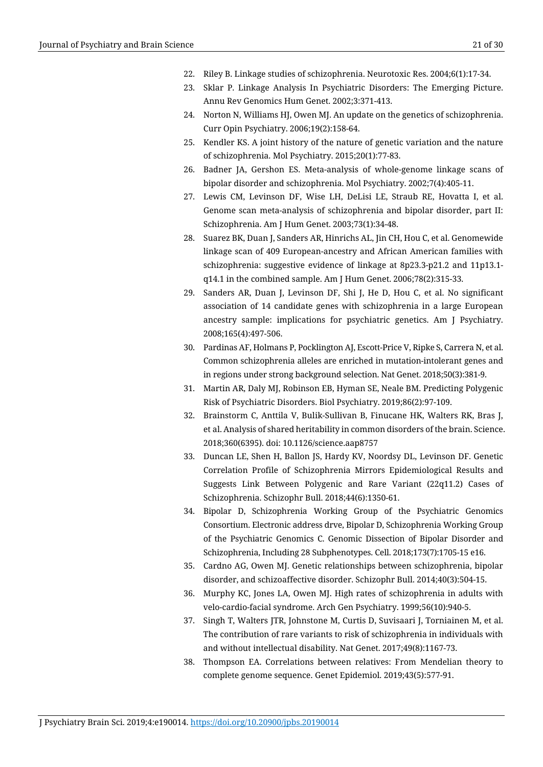- 22. Riley B. Linkage studies of schizophrenia. Neurotoxic Res. 2004;6(1):17-34.
- 23. Sklar P. Linkage Analysis In Psychiatric Disorders: The Emerging Picture. Annu Rev Genomics Hum Genet. 2002;3:371-413.
- 24. Norton N, Williams HJ, Owen MJ. An update on the genetics of schizophrenia. Curr Opin Psychiatry. 2006;19(2):158-64.
- 25. Kendler KS. A joint history of the nature of genetic variation and the nature of schizophrenia. Mol Psychiatry. 2015;20(1):77-83.
- 26. Badner JA, Gershon ES. Meta-analysis of whole-genome linkage scans of bipolar disorder and schizophrenia. Mol Psychiatry. 2002;7(4):405-11.
- 27. Lewis CM, Levinson DF, Wise LH, DeLisi LE, Straub RE, Hovatta I, et al. Genome scan meta-analysis of schizophrenia and bipolar disorder, part II: Schizophrenia. Am J Hum Genet. 2003;73(1):34-48.
- 28. Suarez BK, Duan J, Sanders AR, Hinrichs AL, Jin CH, Hou C, et al. Genomewide linkage scan of 409 European-ancestry and African American families with schizophrenia: suggestive evidence of linkage at 8p23.3-p21.2 and 11p13.1 q14.1 in the combined sample. Am J Hum Genet. 2006;78(2):315-33.
- 29. Sanders AR, Duan J, Levinson DF, Shi J, He D, Hou C, et al. No significant association of 14 candidate genes with schizophrenia in a large European ancestry sample: implications for psychiatric genetics. Am J Psychiatry. 2008;165(4):497-506.
- 30. Pardinas AF, Holmans P, Pocklington AJ, Escott-Price V, Ripke S, Carrera N, et al. Common schizophrenia alleles are enriched in mutation-intolerant genes and in regions under strong background selection. Nat Genet. 2018;50(3):381-9.
- 31. Martin AR, Daly MJ, Robinson EB, Hyman SE, Neale BM. Predicting Polygenic Risk of Psychiatric Disorders. Biol Psychiatry. 2019;86(2):97-109.
- 32. Brainstorm C, Anttila V, Bulik-Sullivan B, Finucane HK, Walters RK, Bras J, et al. Analysis of shared heritability in common disorders of the brain. Science. 2018;360(6395). doi: 10.1126/science.aap8757
- 33. Duncan LE, Shen H, Ballon JS, Hardy KV, Noordsy DL, Levinson DF. Genetic Correlation Profile of Schizophrenia Mirrors Epidemiological Results and Suggests Link Between Polygenic and Rare Variant (22q11.2) Cases of Schizophrenia. Schizophr Bull. 2018;44(6):1350-61.
- 34. Bipolar D, Schizophrenia Working Group of the Psychiatric Genomics Consortium. Electronic address drve, Bipolar D, Schizophrenia Working Group of the Psychiatric Genomics C. Genomic Dissection of Bipolar Disorder and Schizophrenia, Including 28 Subphenotypes. Cell. 2018;173(7):1705-15 e16.
- 35. Cardno AG, Owen MJ. Genetic relationships between schizophrenia, bipolar disorder, and schizoaffective disorder. Schizophr Bull. 2014;40(3):504-15.
- 36. Murphy KC, Jones LA, Owen MJ. High rates of schizophrenia in adults with velo-cardio-facial syndrome. Arch Gen Psychiatry. 1999;56(10):940-5.
- 37. Singh T, Walters JTR, Johnstone M, Curtis D, Suvisaari J, Torniainen M, et al. The contribution of rare variants to risk of schizophrenia in individuals with and without intellectual disability. Nat Genet. 2017;49(8):1167-73.
- 38. Thompson EA. Correlations between relatives: From Mendelian theory to complete genome sequence. Genet Epidemiol. 2019;43(5):577-91.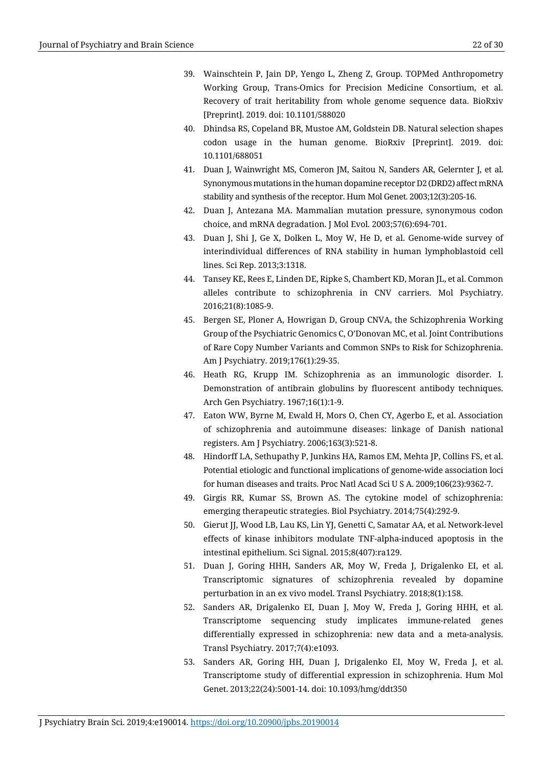- 39. Wainschtein P, Jain DP, Yengo L, Zheng Z, Group. TOPMed Anthropometry Working Group, Trans-Omics for Precision Medicine Consortium, et al. Recovery of trait heritability from whole genome sequence data. BioRxiv [Preprint]. 2019. doi: 10.1101/588020
- 40. Dhindsa RS, Copeland BR, Mustoe AM, Goldstein DB. Natural selection shapes codon usage in the human genome. BioRxiv [Preprint]. 2019. doi: 10.1101/688051
- 41. Duan J, Wainwright MS, Comeron JM, Saitou N, Sanders AR, Gelernter J, et al. Synonymous mutations in the human dopamine receptor D2 (DRD2) affect mRNA stability and synthesis of the receptor. Hum Mol Genet. 2003;12(3):205-16.
- 42. Duan J, Antezana MA. Mammalian mutation pressure, synonymous codon choice, and mRNA degradation. J Mol Evol. 2003;57(6):694-701.
- 43. Duan J, Shi J, Ge X, Dolken L, Moy W, He D, et al. Genome-wide survey of interindividual differences of RNA stability in human lymphoblastoid cell lines. Sci Rep. 2013;3:1318.
- 44. Tansey KE, Rees E, Linden DE, Ripke S, Chambert KD, Moran JL, et al. Common alleles contribute to schizophrenia in CNV carriers. Mol Psychiatry. 2016;21(8):1085-9.
- 45. Bergen SE, Ploner A, Howrigan D, Group CNVA, the Schizophrenia Working Group of the Psychiatric Genomics C, O'Donovan MC, et al. Joint Contributions of Rare Copy Number Variants and Common SNPs to Risk for Schizophrenia. Am J Psychiatry. 2019;176(1):29-35.
- 46. Heath RG, Krupp IM. Schizophrenia as an immunologic disorder. I. Demonstration of antibrain globulins by fluorescent antibody techniques. Arch Gen Psychiatry. 1967;16(1):1-9.
- 47. Eaton WW, Byrne M, Ewald H, Mors O, Chen CY, Agerbo E, et al. Association of schizophrenia and autoimmune diseases: linkage of Danish national registers. Am J Psychiatry. 2006;163(3):521-8.
- 48. Hindorff LA, Sethupathy P, Junkins HA, Ramos EM, Mehta JP, Collins FS, et al. Potential etiologic and functional implications of genome-wide association loci for human diseases and traits. Proc Natl Acad Sci U S A. 2009;106(23):9362-7.
- 49. Girgis RR, Kumar SS, Brown AS. The cytokine model of schizophrenia: emerging therapeutic strategies. Biol Psychiatry. 2014;75(4):292-9.
- 50. Gierut JJ, Wood LB, Lau KS, Lin YJ, Genetti C, Samatar AA, et al. Network-level effects of kinase inhibitors modulate TNF-alpha-induced apoptosis in the intestinal epithelium. Sci Signal. 2015;8(407):ra129.
- 51. Duan J, Goring HHH, Sanders AR, Moy W, Freda J, Drigalenko EI, et al. Transcriptomic signatures of schizophrenia revealed by dopamine perturbation in an ex vivo model. Transl Psychiatry. 2018;8(1):158.
- 52. Sanders AR, Drigalenko EI, Duan J, Moy W, Freda J, Goring HHH, et al. Transcriptome sequencing study implicates immune-related genes differentially expressed in schizophrenia: new data and a meta-analysis. Transl Psychiatry. 2017;7(4):e1093.
- 53. Sanders AR, Goring HH, Duan J, Drigalenko EI, Moy W, Freda J, et al. Transcriptome study of differential expression in schizophrenia. Hum Mol Genet. 2013;22(24):5001-14. doi: 10.1093/hmg/ddt350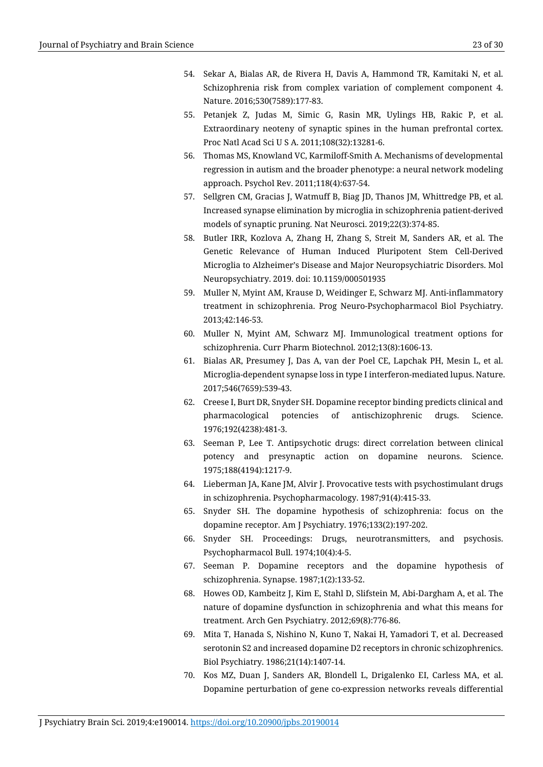- 54. Sekar A, Bialas AR, de Rivera H, Davis A, Hammond TR, Kamitaki N, et al. Schizophrenia risk from complex variation of complement component 4. Nature. 2016;530(7589):177-83.
- 55. Petanjek Z, Judas M, Simic G, Rasin MR, Uylings HB, Rakic P, et al. Extraordinary neoteny of synaptic spines in the human prefrontal cortex. Proc Natl Acad Sci U S A. 2011;108(32):13281-6.
- 56. Thomas MS, Knowland VC, Karmiloff-Smith A. Mechanisms of developmental regression in autism and the broader phenotype: a neural network modeling approach. Psychol Rev. 2011;118(4):637-54.
- 57. Sellgren CM, Gracias J, Watmuff B, Biag JD, Thanos JM, Whittredge PB, et al. Increased synapse elimination by microglia in schizophrenia patient-derived models of synaptic pruning. Nat Neurosci. 2019;22(3):374-85.
- 58. Butler IRR, Kozlova A, Zhang H, Zhang S, Streit M, Sanders AR, et al. The Genetic Relevance of Human Induced Pluripotent Stem Cell-Derived Microglia to Alzheimer's Disease and Major Neuropsychiatric Disorders. Mol Neuropsychiatry. 2019. doi: 10.1159/000501935
- 59. Muller N, Myint AM, Krause D, Weidinger E, Schwarz MJ. Anti-inflammatory treatment in schizophrenia. Prog Neuro-Psychopharmacol Biol Psychiatry. 2013;42:146-53.
- 60. Muller N, Myint AM, Schwarz MJ. Immunological treatment options for schizophrenia. Curr Pharm Biotechnol. 2012;13(8):1606-13.
- 61. Bialas AR, Presumey J, Das A, van der Poel CE, Lapchak PH, Mesin L, et al. Microglia-dependent synapse loss in type I interferon-mediated lupus. Nature. 2017;546(7659):539-43.
- 62. Creese I, Burt DR, Snyder SH. Dopamine receptor binding predicts clinical and pharmacological potencies of antischizophrenic drugs. Science. 1976;192(4238):481-3.
- 63. Seeman P, Lee T. Antipsychotic drugs: direct correlation between clinical potency and presynaptic action on dopamine neurons. Science. 1975;188(4194):1217-9.
- 64. Lieberman JA, Kane JM, Alvir J. Provocative tests with psychostimulant drugs in schizophrenia. Psychopharmacology. 1987;91(4):415-33.
- 65. Snyder SH. The dopamine hypothesis of schizophrenia: focus on the dopamine receptor. Am J Psychiatry. 1976;133(2):197-202.
- 66. Snyder SH. Proceedings: Drugs, neurotransmitters, and psychosis. Psychopharmacol Bull. 1974;10(4):4-5.
- 67. Seeman P. Dopamine receptors and the dopamine hypothesis of schizophrenia. Synapse. 1987;1(2):133-52.
- 68. Howes OD, Kambeitz J, Kim E, Stahl D, Slifstein M, Abi-Dargham A, et al. The nature of dopamine dysfunction in schizophrenia and what this means for treatment. Arch Gen Psychiatry. 2012;69(8):776-86.
- 69. Mita T, Hanada S, Nishino N, Kuno T, Nakai H, Yamadori T, et al. Decreased serotonin S2 and increased dopamine D2 receptors in chronic schizophrenics. Biol Psychiatry. 1986;21(14):1407-14.
- 70. Kos MZ, Duan J, Sanders AR, Blondell L, Drigalenko EI, Carless MA, et al. Dopamine perturbation of gene co-expression networks reveals differential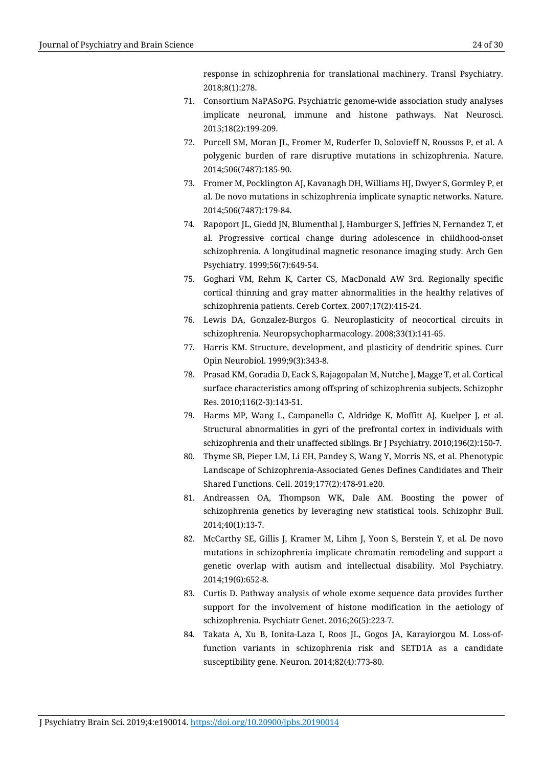response in schizophrenia for translational machinery. Transl Psychiatry. 2018;8(1):278.

- 71. Consortium NaPASoPG. Psychiatric genome-wide association study analyses implicate neuronal, immune and histone pathways. Nat Neurosci. 2015;18(2):199-209.
- 72. Purcell SM, Moran JL, Fromer M, Ruderfer D, Solovieff N, Roussos P, et al. A polygenic burden of rare disruptive mutations in schizophrenia. Nature. 2014;506(7487):185-90.
- 73. Fromer M, Pocklington AJ, Kavanagh DH, Williams HJ, Dwyer S, Gormley P, et al. De novo mutations in schizophrenia implicate synaptic networks. Nature. 2014;506(7487):179-84.
- 74. Rapoport JL, Giedd JN, Blumenthal J, Hamburger S, Jeffries N, Fernandez T, et al. Progressive cortical change during adolescence in childhood-onset schizophrenia. A longitudinal magnetic resonance imaging study. Arch Gen Psychiatry. 1999;56(7):649-54.
- 75. Goghari VM, Rehm K, Carter CS, MacDonald AW 3rd. Regionally specific cortical thinning and gray matter abnormalities in the healthy relatives of schizophrenia patients. Cereb Cortex. 2007;17(2):415-24.
- 76. Lewis DA, Gonzalez-Burgos G. Neuroplasticity of neocortical circuits in schizophrenia. Neuropsychopharmacology. 2008;33(1):141-65.
- 77. Harris KM. Structure, development, and plasticity of dendritic spines. Curr Opin Neurobiol. 1999;9(3):343-8.
- 78. Prasad KM, Goradia D, Eack S, Rajagopalan M, Nutche J, Magge T, et al. Cortical surface characteristics among offspring of schizophrenia subjects. Schizophr Res. 2010;116(2-3):143-51.
- 79. Harms MP, Wang L, Campanella C, Aldridge K, Moffitt AJ, Kuelper J, et al. Structural abnormalities in gyri of the prefrontal cortex in individuals with schizophrenia and their unaffected siblings. Br J Psychiatry. 2010;196(2):150-7.
- 80. Thyme SB, Pieper LM, Li EH, Pandey S, Wang Y, Morris NS, et al. Phenotypic Landscape of Schizophrenia-Associated Genes Defines Candidates and Their Shared Functions. Cell. 2019;177(2):478-91.e20.
- 81. Andreassen OA, Thompson WK, Dale AM. Boosting the power of schizophrenia genetics by leveraging new statistical tools. Schizophr Bull. 2014;40(1):13-7.
- 82. McCarthy SE, Gillis J, Kramer M, Lihm J, Yoon S, Berstein Y, et al. De novo mutations in schizophrenia implicate chromatin remodeling and support a genetic overlap with autism and intellectual disability. Mol Psychiatry. 2014;19(6):652-8.
- 83. Curtis D. Pathway analysis of whole exome sequence data provides further support for the involvement of histone modification in the aetiology of schizophrenia. Psychiatr Genet. 2016;26(5):223-7.
- 84. Takata A, Xu B, Ionita-Laza I, Roos JL, Gogos JA, Karayiorgou M. Loss-offunction variants in schizophrenia risk and SETD1A as a candidate susceptibility gene. Neuron. 2014;82(4):773-80.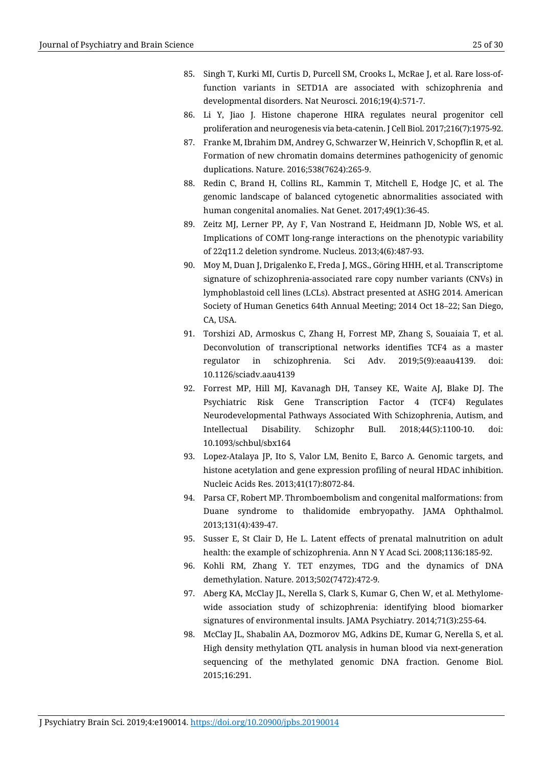- 85. Singh T, Kurki MI, Curtis D, Purcell SM, Crooks L, McRae J, et al. Rare loss-offunction variants in SETD1A are associated with schizophrenia and developmental disorders. Nat Neurosci. 2016;19(4):571-7.
- 86. Li Y, Jiao J. Histone chaperone HIRA regulates neural progenitor cell proliferation and neurogenesis via beta-catenin. J Cell Biol. 2017;216(7):1975-92.
- 87. Franke M, Ibrahim DM, Andrey G, Schwarzer W, Heinrich V, Schopflin R, et al. Formation of new chromatin domains determines pathogenicity of genomic duplications. Nature. 2016;538(7624):265-9.
- 88. Redin C, Brand H, Collins RL, Kammin T, Mitchell E, Hodge JC, et al. The genomic landscape of balanced cytogenetic abnormalities associated with human congenital anomalies. Nat Genet. 2017;49(1):36-45.
- 89. Zeitz MJ, Lerner PP, Ay F, Van Nostrand E, Heidmann JD, Noble WS, et al. Implications of COMT long-range interactions on the phenotypic variability of 22q11.2 deletion syndrome. Nucleus. 2013;4(6):487-93.
- 90. Moy M, Duan J, Drigalenko E, Freda J, MGS., Göring HHH, et al. Transcriptome signature of schizophrenia-associated rare copy number variants (CNVs) in lymphoblastoid cell lines (LCLs). Abstract presented at ASHG 2014. American Society of Human Genetics 64th Annual Meeting; 2014 Oct 18–22; San Diego, CA, USA.
- 91. Torshizi AD, Armoskus C, Zhang H, Forrest MP, Zhang S, Souaiaia T, et al. Deconvolution of transcriptional networks identifies TCF4 as a master regulator in schizophrenia. Sci Adv. 2019;5(9):eaau4139. doi: 10.1126/sciadv.aau4139
- 92. Forrest MP, Hill MJ, Kavanagh DH, Tansey KE, Waite AJ, Blake DJ. The Psychiatric Risk Gene Transcription Factor 4 (TCF4) Regulates Neurodevelopmental Pathways Associated With Schizophrenia, Autism, and Intellectual Disability. Schizophr Bull. 2018;44(5):1100-10. doi: 10.1093/schbul/sbx164
- 93. Lopez-Atalaya JP, Ito S, Valor LM, Benito E, Barco A. Genomic targets, and histone acetylation and gene expression profiling of neural HDAC inhibition. Nucleic Acids Res. 2013;41(17):8072-84.
- 94. Parsa CF, Robert MP. Thromboembolism and congenital malformations: from Duane syndrome to thalidomide embryopathy. JAMA Ophthalmol. 2013;131(4):439-47.
- 95. Susser E, St Clair D, He L. Latent effects of prenatal malnutrition on adult health: the example of schizophrenia. Ann N Y Acad Sci. 2008;1136:185-92.
- 96. Kohli RM, Zhang Y. TET enzymes, TDG and the dynamics of DNA demethylation. Nature. 2013;502(7472):472-9.
- 97. Aberg KA, McClay JL, Nerella S, Clark S, Kumar G, Chen W, et al. Methylomewide association study of schizophrenia: identifying blood biomarker signatures of environmental insults. JAMA Psychiatry. 2014;71(3):255-64.
- 98. McClay JL, Shabalin AA, Dozmorov MG, Adkins DE, Kumar G, Nerella S, et al. High density methylation QTL analysis in human blood via next-generation sequencing of the methylated genomic DNA fraction. Genome Biol. 2015;16:291.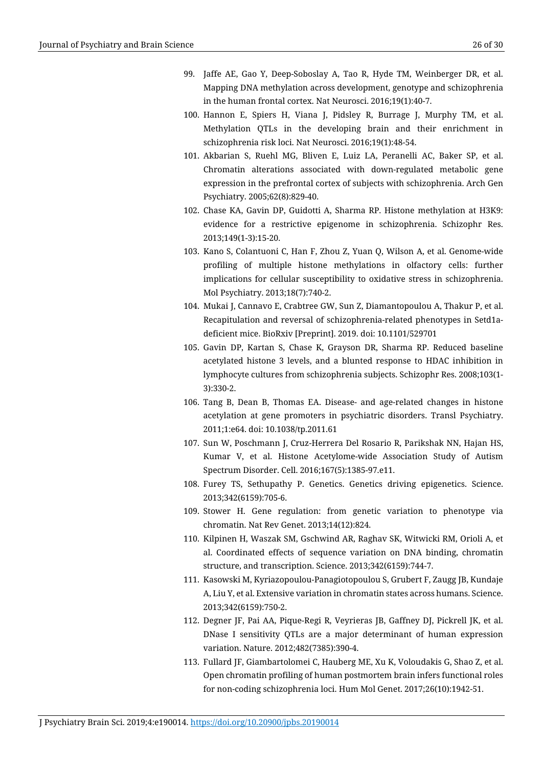- 99. Jaffe AE, Gao Y, Deep-Soboslay A, Tao R, Hyde TM, Weinberger DR, et al. Mapping DNA methylation across development, genotype and schizophrenia in the human frontal cortex. Nat Neurosci. 2016;19(1):40-7.
- 100. Hannon E, Spiers H, Viana J, Pidsley R, Burrage J, Murphy TM, et al. Methylation QTLs in the developing brain and their enrichment in schizophrenia risk loci. Nat Neurosci. 2016;19(1):48-54.
- 101. Akbarian S, Ruehl MG, Bliven E, Luiz LA, Peranelli AC, Baker SP, et al. Chromatin alterations associated with down-regulated metabolic gene expression in the prefrontal cortex of subjects with schizophrenia. Arch Gen Psychiatry. 2005;62(8):829-40.
- 102. Chase KA, Gavin DP, Guidotti A, Sharma RP. Histone methylation at H3K9: evidence for a restrictive epigenome in schizophrenia. Schizophr Res. 2013;149(1-3):15-20.
- 103. Kano S, Colantuoni C, Han F, Zhou Z, Yuan Q, Wilson A, et al. Genome-wide profiling of multiple histone methylations in olfactory cells: further implications for cellular susceptibility to oxidative stress in schizophrenia. Mol Psychiatry. 2013;18(7):740-2.
- 104. Mukai J, Cannavo E, Crabtree GW, Sun Z, Diamantopoulou A, Thakur P, et al. Recapitulation and reversal of schizophrenia-related phenotypes in Setd1adeficient mice. BioRxiv [Preprint]. 2019. doi: 10.1101/529701
- 105. Gavin DP, Kartan S, Chase K, Grayson DR, Sharma RP. Reduced baseline acetylated histone 3 levels, and a blunted response to HDAC inhibition in lymphocyte cultures from schizophrenia subjects. Schizophr Res. 2008;103(1- 3):330-2.
- 106. Tang B, Dean B, Thomas EA. Disease- and age-related changes in histone acetylation at gene promoters in psychiatric disorders. Transl Psychiatry. 2011;1:e64. doi: 10.1038/tp.2011.61
- 107. Sun W, Poschmann J, Cruz-Herrera Del Rosario R, Parikshak NN, Hajan HS, Kumar V, et al. Histone Acetylome-wide Association Study of Autism Spectrum Disorder. Cell. 2016;167(5):1385-97.e11.
- 108. Furey TS, Sethupathy P. Genetics. Genetics driving epigenetics. Science. 2013;342(6159):705-6.
- 109. Stower H. Gene regulation: from genetic variation to phenotype via chromatin. Nat Rev Genet. 2013;14(12):824.
- 110. Kilpinen H, Waszak SM, Gschwind AR, Raghav SK, Witwicki RM, Orioli A, et al. Coordinated effects of sequence variation on DNA binding, chromatin structure, and transcription. Science. 2013;342(6159):744-7.
- 111. Kasowski M, Kyriazopoulou-Panagiotopoulou S, Grubert F, Zaugg JB, Kundaje A, Liu Y, et al. Extensive variation in chromatin states across humans. Science. 2013;342(6159):750-2.
- 112. Degner JF, Pai AA, Pique-Regi R, Veyrieras JB, Gaffney DJ, Pickrell JK, et al. DNase I sensitivity QTLs are a major determinant of human expression variation. Nature. 2012;482(7385):390-4.
- 113. Fullard JF, Giambartolomei C, Hauberg ME, Xu K, Voloudakis G, Shao Z, et al. Open chromatin profiling of human postmortem brain infers functional roles for non-coding schizophrenia loci. Hum Mol Genet. 2017;26(10):1942-51.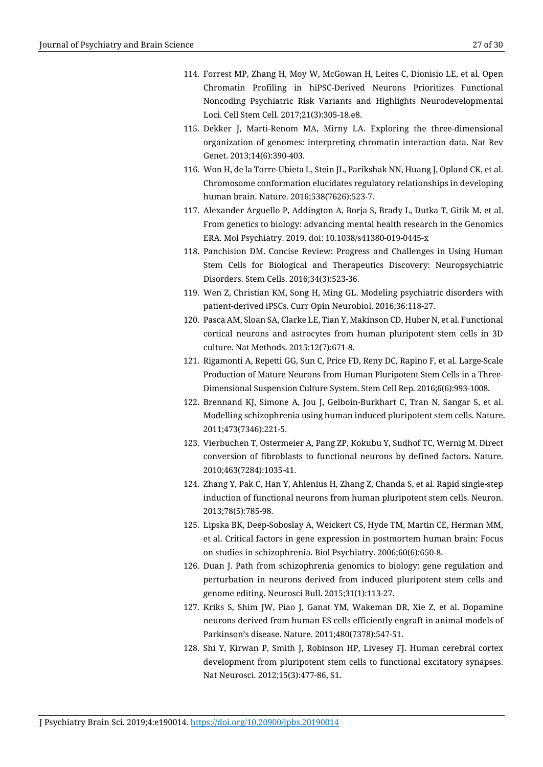- 114. Forrest MP, Zhang H, Moy W, McGowan H, Leites C, Dionisio LE, et al. Open Chromatin Profiling in hiPSC-Derived Neurons Prioritizes Functional Noncoding Psychiatric Risk Variants and Highlights Neurodevelopmental Loci. Cell Stem Cell. 2017;21(3):305-18.e8.
- 115. Dekker J, Marti-Renom MA, Mirny LA. Exploring the three-dimensional organization of genomes: interpreting chromatin interaction data. Nat Rev Genet. 2013;14(6):390-403.
- 116. Won H, de la Torre-Ubieta L, Stein JL, Parikshak NN, Huang J, Opland CK, et al. Chromosome conformation elucidates regulatory relationships in developing human brain. Nature. 2016;538(7626):523-7.
- 117. Alexander Arguello P, Addington A, Borja S, Brady L, Dutka T, Gitik M, et al. From genetics to biology: advancing mental health research in the Genomics ERA. Mol Psychiatry. 2019. doi: 10.1038/s41380-019-0445-x
- 118. Panchision DM. Concise Review: Progress and Challenges in Using Human Stem Cells for Biological and Therapeutics Discovery: Neuropsychiatric Disorders. Stem Cells. 2016;34(3):523-36.
- 119. Wen Z, Christian KM, Song H, Ming GL. Modeling psychiatric disorders with patient-derived iPSCs. Curr Opin Neurobiol. 2016;36:118-27.
- 120. Pasca AM, Sloan SA, Clarke LE, Tian Y, Makinson CD, Huber N, et al. Functional cortical neurons and astrocytes from human pluripotent stem cells in 3D culture. Nat Methods. 2015;12(7):671-8.
- 121. Rigamonti A, Repetti GG, Sun C, Price FD, Reny DC, Rapino F, et al. Large-Scale Production of Mature Neurons from Human Pluripotent Stem Cells in a Three-Dimensional Suspension Culture System. Stem Cell Rep. 2016;6(6):993-1008.
- 122. Brennand KJ, Simone A, Jou J, Gelboin-Burkhart C, Tran N, Sangar S, et al. Modelling schizophrenia using human induced pluripotent stem cells. Nature. 2011;473(7346):221-5.
- 123. Vierbuchen T, Ostermeier A, Pang ZP, Kokubu Y, Sudhof TC, Wernig M. Direct conversion of fibroblasts to functional neurons by defined factors. Nature. 2010;463(7284):1035-41.
- 124. Zhang Y, Pak C, Han Y, Ahlenius H, Zhang Z, Chanda S, et al. Rapid single-step induction of functional neurons from human pluripotent stem cells. Neuron. 2013;78(5):785-98.
- 125. Lipska BK, Deep-Soboslay A, Weickert CS, Hyde TM, Martin CE, Herman MM, et al. Critical factors in gene expression in postmortem human brain: Focus on studies in schizophrenia. Biol Psychiatry. 2006;60(6):650-8.
- 126. Duan J. Path from schizophrenia genomics to biology: gene regulation and perturbation in neurons derived from induced pluripotent stem cells and genome editing. Neurosci Bull. 2015;31(1):113-27.
- 127. Kriks S, Shim JW, Piao J, Ganat YM, Wakeman DR, Xie Z, et al. Dopamine neurons derived from human ES cells efficiently engraft in animal models of Parkinson's disease. Nature. 2011;480(7378):547-51.
- 128. Shi Y, Kirwan P, Smith J, Robinson HP, Livesey FJ. Human cerebral cortex development from pluripotent stem cells to functional excitatory synapses. Nat Neurosci. 2012;15(3):477-86, S1.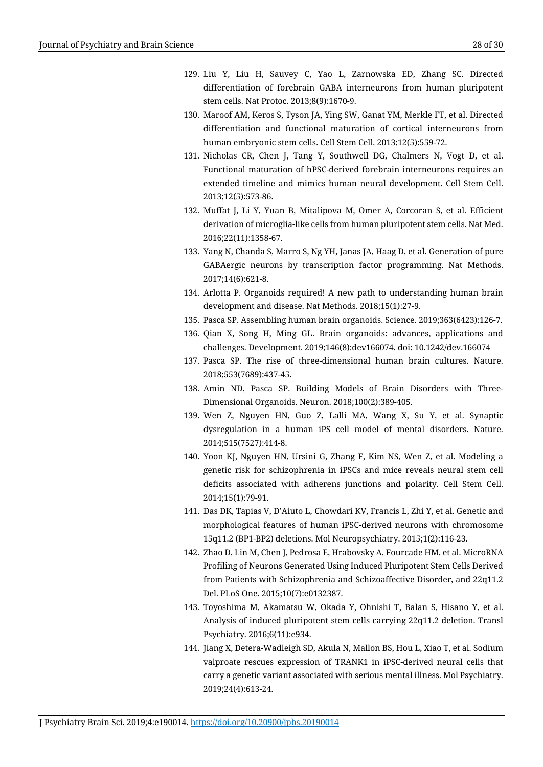- 129. Liu Y, Liu H, Sauvey C, Yao L, Zarnowska ED, Zhang SC. Directed differentiation of forebrain GABA interneurons from human pluripotent stem cells. Nat Protoc. 2013;8(9):1670-9.
- 130. Maroof AM, Keros S, Tyson JA, Ying SW, Ganat YM, Merkle FT, et al. Directed differentiation and functional maturation of cortical interneurons from human embryonic stem cells. Cell Stem Cell. 2013;12(5):559-72.
- 131. Nicholas CR, Chen J, Tang Y, Southwell DG, Chalmers N, Vogt D, et al. Functional maturation of hPSC-derived forebrain interneurons requires an extended timeline and mimics human neural development. Cell Stem Cell. 2013;12(5):573-86.
- 132. Muffat J, Li Y, Yuan B, Mitalipova M, Omer A, Corcoran S, et al. Efficient derivation of microglia-like cells from human pluripotent stem cells. Nat Med. 2016;22(11):1358-67.
- 133. Yang N, Chanda S, Marro S, Ng YH, Janas JA, Haag D, et al. Generation of pure GABAergic neurons by transcription factor programming. Nat Methods. 2017;14(6):621-8.
- 134. Arlotta P. Organoids required! A new path to understanding human brain development and disease. Nat Methods. 2018;15(1):27-9.
- 135. Pasca SP. Assembling human brain organoids. Science. 2019;363(6423):126-7.
- 136. Qian X, Song H, Ming GL. Brain organoids: advances, applications and challenges. Development. 2019;146(8):dev166074. doi: 10.1242/dev.166074
- 137. Pasca SP. The rise of three-dimensional human brain cultures. Nature. 2018;553(7689):437-45.
- 138. Amin ND, Pasca SP. Building Models of Brain Disorders with Three-Dimensional Organoids. Neuron. 2018;100(2):389-405.
- 139. Wen Z, Nguyen HN, Guo Z, Lalli MA, Wang X, Su Y, et al. Synaptic dysregulation in a human iPS cell model of mental disorders. Nature. 2014;515(7527):414-8.
- 140. Yoon KJ, Nguyen HN, Ursini G, Zhang F, Kim NS, Wen Z, et al. Modeling a genetic risk for schizophrenia in iPSCs and mice reveals neural stem cell deficits associated with adherens junctions and polarity. Cell Stem Cell. 2014;15(1):79-91.
- 141. Das DK, Tapias V, D'Aiuto L, Chowdari KV, Francis L, Zhi Y, et al. Genetic and morphological features of human iPSC-derived neurons with chromosome 15q11.2 (BP1-BP2) deletions. Mol Neuropsychiatry. 2015;1(2):116-23.
- 142. Zhao D, Lin M, Chen J, Pedrosa E, Hrabovsky A, Fourcade HM, et al. MicroRNA Profiling of Neurons Generated Using Induced Pluripotent Stem Cells Derived from Patients with Schizophrenia and Schizoaffective Disorder, and 22q11.2 Del. PLoS One. 2015;10(7):e0132387.
- 143. Toyoshima M, Akamatsu W, Okada Y, Ohnishi T, Balan S, Hisano Y, et al. Analysis of induced pluripotent stem cells carrying 22q11.2 deletion. Transl Psychiatry. 2016;6(11):e934.
- 144. Jiang X, Detera-Wadleigh SD, Akula N, Mallon BS, Hou L, Xiao T, et al. Sodium valproate rescues expression of TRANK1 in iPSC-derived neural cells that carry a genetic variant associated with serious mental illness. Mol Psychiatry. 2019;24(4):613-24.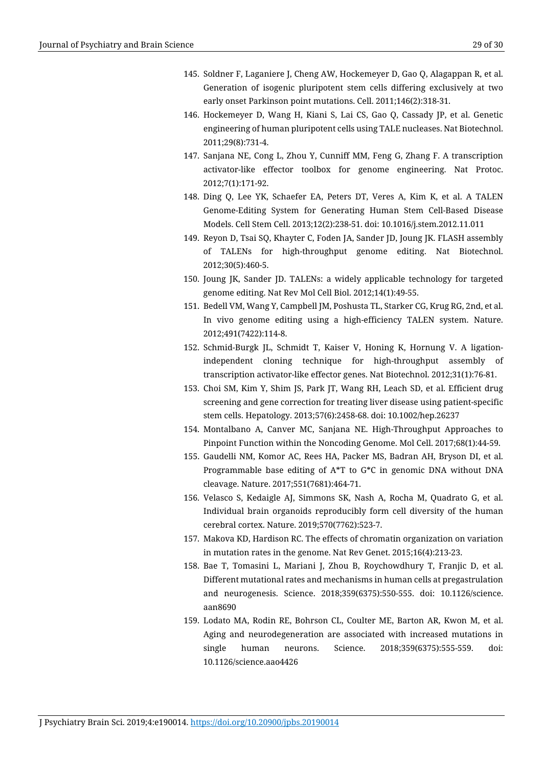- 145. Soldner F, Laganiere J, Cheng AW, Hockemeyer D, Gao Q, Alagappan R, et al. Generation of isogenic pluripotent stem cells differing exclusively at two early onset Parkinson point mutations. Cell. 2011;146(2):318-31.
- 146. Hockemeyer D, Wang H, Kiani S, Lai CS, Gao Q, Cassady JP, et al. Genetic engineering of human pluripotent cells using TALE nucleases. Nat Biotechnol. 2011;29(8):731-4.
- 147. Sanjana NE, Cong L, Zhou Y, Cunniff MM, Feng G, Zhang F. A transcription activator-like effector toolbox for genome engineering. Nat Protoc. 2012;7(1):171-92.
- 148. Ding Q, Lee YK, Schaefer EA, Peters DT, Veres A, Kim K, et al. A TALEN Genome-Editing System for Generating Human Stem Cell-Based Disease Models. Cell Stem Cell. 2013;12(2):238-51. doi: 10.1016/j.stem.2012.11.011
- 149. Reyon D, Tsai SQ, Khayter C, Foden JA, Sander JD, Joung JK. FLASH assembly of TALENs for high-throughput genome editing. Nat Biotechnol. 2012;30(5):460-5.
- 150. Joung JK, Sander JD. TALENs: a widely applicable technology for targeted genome editing. Nat Rev Mol Cell Biol. 2012;14(1):49-55.
- 151. Bedell VM, Wang Y, Campbell JM, Poshusta TL, Starker CG, Krug RG, 2nd, et al. In vivo genome editing using a high-efficiency TALEN system. Nature. 2012;491(7422):114-8.
- 152. Schmid-Burgk JL, Schmidt T, Kaiser V, Honing K, Hornung V. A ligationindependent cloning technique for high-throughput assembly of transcription activator-like effector genes. Nat Biotechnol. 2012;31(1):76-81.
- 153. Choi SM, Kim Y, Shim JS, Park JT, Wang RH, Leach SD, et al. Efficient drug screening and gene correction for treating liver disease using patient-specific stem cells. Hepatology. 2013;57(6):2458-68. doi: 10.1002/hep.26237
- 154. Montalbano A, Canver MC, Sanjana NE. High-Throughput Approaches to Pinpoint Function within the Noncoding Genome. Mol Cell. 2017;68(1):44-59.
- 155. Gaudelli NM, Komor AC, Rees HA, Packer MS, Badran AH, Bryson DI, et al. Programmable base editing of A\*T to G\*C in genomic DNA without DNA cleavage. Nature. 2017;551(7681):464-71.
- 156. Velasco S, Kedaigle AJ, Simmons SK, Nash A, Rocha M, Quadrato G, et al. Individual brain organoids reproducibly form cell diversity of the human cerebral cortex. Nature. 2019;570(7762):523-7.
- 157. Makova KD, Hardison RC. The effects of chromatin organization on variation in mutation rates in the genome. Nat Rev Genet. 2015;16(4):213-23.
- 158. Bae T, Tomasini L, Mariani J, Zhou B, Roychowdhury T, Franjic D, et al. Different mutational rates and mechanisms in human cells at pregastrulation and neurogenesis. Science. 2018;359(6375):550-555. doi: 10.1126/science. aan8690
- 159. Lodato MA, Rodin RE, Bohrson CL, Coulter ME, Barton AR, Kwon M, et al. Aging and neurodegeneration are associated with increased mutations in single human neurons. Science. 2018;359(6375):555-559. doi: 10.1126/science.aao4426